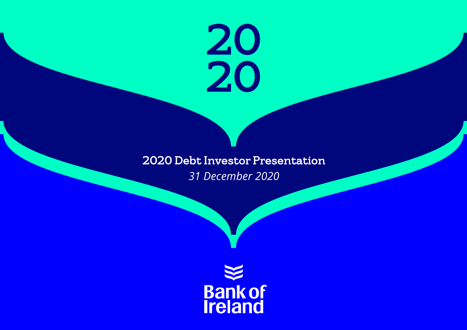# 20 20

# 2020 Debt Investor Presentation *31 December 2020*

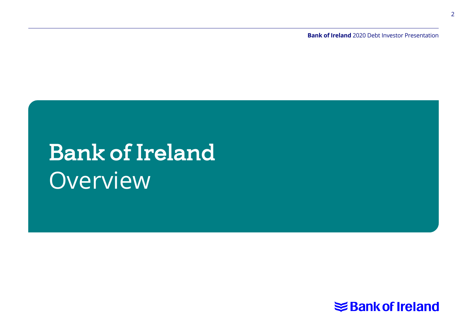**Bank of Ireland** 2020 Debt Investor Presentation

# Bank of Ireland **Overview**

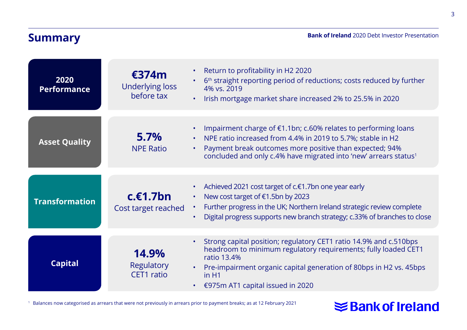## **Summary**

**Bank of Ireland** 2020 Debt Investor Presentation

| 2020<br><b>Performance</b> | €374m<br><b>Underlying loss</b><br>before tax | Return to profitability in H2 2020<br>$\bullet$<br>6 <sup>th</sup> straight reporting period of reductions; costs reduced by further<br>٠<br>4% vs. 2019<br>Irish mortgage market share increased 2% to 25.5% in 2020<br>$\bullet$                                                                      |
|----------------------------|-----------------------------------------------|---------------------------------------------------------------------------------------------------------------------------------------------------------------------------------------------------------------------------------------------------------------------------------------------------------|
| <b>Asset Quality</b>       | 5.7%<br><b>NPE Ratio</b>                      | Impairment charge of €1.1bn; c.60% relates to performing loans<br>٠<br>NPE ratio increased from 4.4% in 2019 to 5.7%; stable in H2<br>$\bullet$<br>Payment break outcomes more positive than expected; 94%<br>$\bullet$<br>concluded and only c.4% have migrated into 'new' arrears status <sup>1</sup> |
| <b>Transformation</b>      | $c.\epsilon1.7bn$<br>Cost target reached      | Achieved 2021 cost target of c.€1.7bn one year early<br>٠<br>New cost target of €1.5bn by 2023<br>$\bullet$<br>Further progress in the UK; Northern Ireland strategic review complete<br>$\bullet$<br>Digital progress supports new branch strategy; c.33% of branches to close<br>٠                    |
| <b>Capital</b>             | 14.9%<br>Regulatory<br>CET1 ratio             | Strong capital position; regulatory CET1 ratio 14.9% and c.510bps<br>$\bullet$<br>headroom to minimum regulatory requirements; fully loaded CET1<br>ratio 13.4%<br>Pre-impairment organic capital generation of 80bps in H2 vs. 45bps<br>in H1<br>€975m AT1 capital issued in 2020<br>$\bullet$         |

<sup>1</sup> Balances now categorised as arrears that were not previously in arrears prior to payment breaks; as at 12 February 2021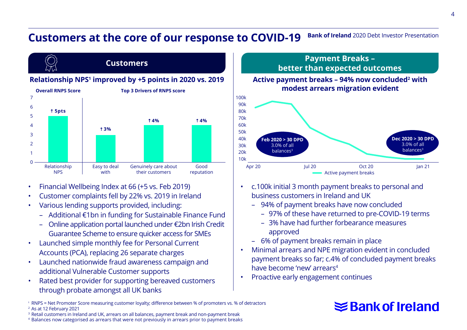#### **Bank of Ireland** 2020 Debt Investor Presentation **Customers at the core of our response to COVID-19**



- Financial Wellbeing Index at 66 (+5 vs. Feb 2019)
- Customer complaints fell by 22% vs. 2019 in Ireland
- Various lending supports provided, including:
	- Additional €1bn in funding for Sustainable Finance Fund
	- Online application portal launched under €2bn Irish Credit Guarantee Scheme to ensure quicker access for SMEs
- Launched simple monthly fee for Personal Current Accounts (PCA), replacing 26 separate charges
- Launched nationwide fraud awareness campaign and additional Vulnerable Customer supports
- Rated best provider for supporting bereaved customers through probate amongst all UK banks



- c.100k initial 3 month payment breaks to personal and business customers in Ireland and UK
	- 94% of payment breaks have now concluded
		- 97% of these have returned to pre-COVID-19 terms

Active payment breaks

Oct 20

**Dec 2020 > 30 DPD** 3.0% of all balances<sup>3</sup>

- 3% have had further forbearance measures approved
- 6% of payment breaks remain in place
- Minimal arrears and NPE migration evident in concluded payment breaks so far; c.4% of concluded payment breaks have become 'new' arrears4
- Proactive early engagement continues

**Feb 2020 > 30 DPD** 3.0% of all balances3

- <sup>1</sup> RNPS = Net Promoter Score measuring customer loyalty; difference between % of promoters vs. % of detractors <sup>2</sup> As at 12 February 2021
- <sup>3</sup> Retail customers in Ireland and UK, arrears on all balances, payment break and non-payment break

<sup>4</sup> Balances now categorised as arrears that were not previously in arrears prior to payment breaks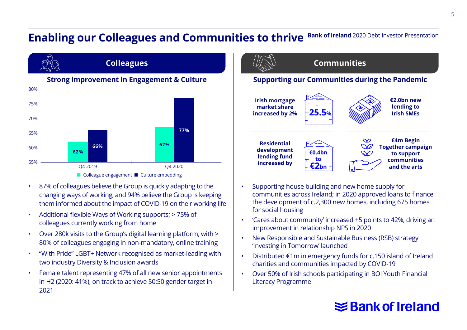#### **Bank of Ireland** 2020 Debt Investor Presentation **Enabling our Colleagues and Communities to thrive**



- 87% of colleagues believe the Group is quickly adapting to the changing ways of working, and 94% believe the Group is keeping them informed about the impact of COVID-19 on their working life
- Additional flexible Ways of Working supports; > 75% of colleagues currently working from home
- Over 280k visits to the Group's digital learning platform, with > 80% of colleagues engaging in non-mandatory, online training
- "With Pride" LGBT+ Network recognised as market-leading with two industry Diversity & Inclusion awards
- Female talent representing 47% of all new senior appointments in H2 (2020: 41%), on track to achieve 50:50 gender target in 2021



- Supporting house building and new home supply for communities across Ireland; in 2020 approved loans to finance the development of c.2,300 new homes, including 675 homes for social housing
- 'Cares about community' increased +5 points to 42%, driving an improvement in relationship NPS in 2020
- New Responsible and Sustainable Business (RSB) strategy 'Investing in Tomorrow' launched
- Distributed €1m in emergency funds for c.150 island of Ireland charities and communities impacted by COVID-19
- Over 50% of Irish schools participating in BOI Youth Financial Literacy Programme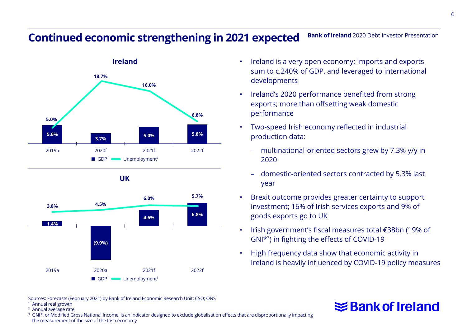#### **Bank of Ireland** 2020 Debt Investor Presentation **Continued economic strengthening in 2021 expected**



**UK**



- Ireland is a very open economy; imports and exports sum to c.240% of GDP, and leveraged to international developments
- Ireland's 2020 performance benefited from strong exports; more than offsetting weak domestic performance
- Two-speed Irish economy reflected in industrial production data:
	- multinational-oriented sectors grew by 7.3% y/y in 2020
	- domestic-oriented sectors contracted by 5.3% last year
- Brexit outcome provides greater certainty to support investment; 16% of Irish services exports and 9% of goods exports go to UK
- Irish government's fiscal measures total €38bn (19% of GNI\*3) in fighting the effects of COVID-19
- High frequency data show that economic activity in Ireland is heavily influenced by COVID-19 policy measures

# **≤Bank of Ireland**

Sources: Forecasts (February 2021) by Bank of Ireland Economic Research Unit; CSO; ONS <sup>1</sup> Annual real growth

<sup>2</sup> Annual average rate

<sup>3</sup> GNI<sup>\*</sup>, or Modified Gross National Income, is an indicator designed to exclude globalisation effects that are disproportionally impacting the measurement of the size of the Irish economy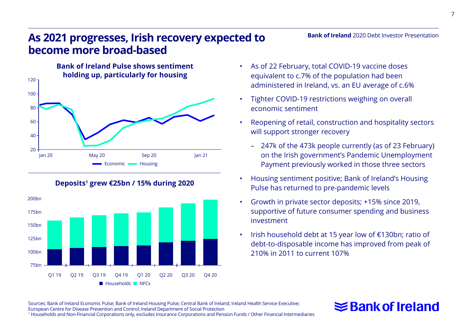# **As 2021 progresses, Irish recovery expected to become more broad-based**





**Deposits1 grew €25bn / 15% during 2020**

• As of 22 February, total COVID-19 vaccine doses equivalent to c.7% of the population had been administered in Ireland, vs. an EU average of c.6%

**Bank of Ireland** 2020 Debt Investor Presentation

- Tighter COVID-19 restrictions weighing on overall economic sentiment
- Reopening of retail, construction and hospitality sectors will support stronger recovery
	- 247k of the 473k people currently (as of 23 February) on the Irish government's Pandemic Unemployment Payment previously worked in those three sectors
- Housing sentiment positive; Bank of Ireland's Housing Pulse has returned to pre-pandemic levels
- Growth in private sector deposits; +15% since 2019, supportive of future consumer spending and business investment
- Irish household debt at 15 year low of €130bn; ratio of debt-to-disposable income has improved from peak of 210% in 2011 to current 107%

Sources: Bank of Ireland Economic Pulse; Bank of Ireland Housing Pulse; Central Bank of Ireland; Ireland Health Service Executive; European Centre for Disease Prevention and Control; Ireland Department of Social Protection 1 Households and Non-Financial Corporations only, excludes Insurance Corporations and Pension Funds / Other Financial Intermediaries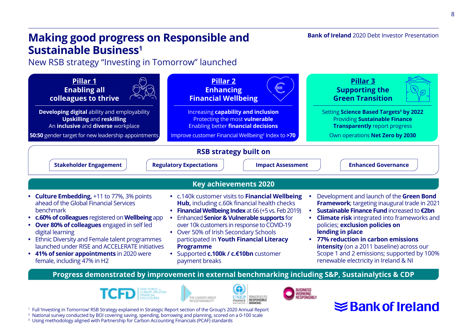# **Making good progress on Responsible and Sustainable Business1**

New RSB strategy "Investing in Tomorrow" launched











<sup>1</sup> Full 'Investing in Tomorrow' RSB Strategy explained in Strategic Report section of the Group's 2020 Annual Report <sup>2</sup> National survey conducted by BOI covering saving, spending, borrowing and planning, scored on a 0-100 scale

<sup>3</sup> Using methodology aligned with Partnership for Carbon Accounting Financials (PCAF) standards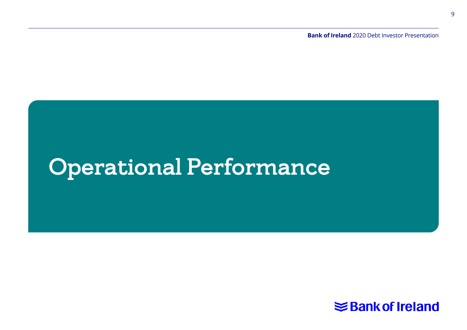**Bank of Ireland** 2020 Debt Investor Presentation

# Operational Performance

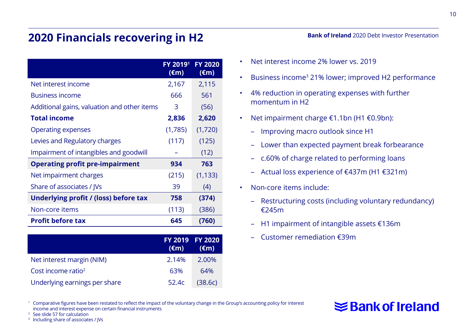# **2020 Financials recovering in H2**

|                                             | FY 2019 <sup>1</sup><br>$(\epsilon m)$ | <b>FY 2020</b><br>$(\epsilon m)$ |
|---------------------------------------------|----------------------------------------|----------------------------------|
| Net interest income                         | 2,167                                  | 2,115                            |
| <b>Business income</b>                      | 666                                    | 561                              |
| Additional gains, valuation and other items | 3                                      | (56)                             |
| <b>Total income</b>                         | 2,836                                  | 2,620                            |
| <b>Operating expenses</b>                   | (1,785)                                | (1,720)                          |
| Levies and Regulatory charges               | (117)                                  | (125)                            |
| Impairment of intangibles and goodwill      |                                        | (12)                             |
| <b>Operating profit pre-impairment</b>      | 934                                    | 763                              |
| Net impairment charges                      | (215)                                  | (1, 133)                         |
| Share of associates / IVs                   | 39                                     | (4)                              |
| Underlying profit / (loss) before tax       | 758                                    | (374)                            |
| Non-core items                              | (113)                                  | (386)                            |
| <b>Profit before tax</b>                    | 645                                    | (760)                            |

|                               | $(\epsilon m)$ | FY 2019 FY 2020<br>$(\epsilon m)$ |
|-------------------------------|----------------|-----------------------------------|
| Net interest margin (NIM)     | 2.14%          | 2.00%                             |
| Cost income ratio $2$         | 63%            | 64%                               |
| Underlying earnings per share | 52.4c          | (38.6c)                           |

- Net interest income 2% lower vs. 2019
- Business income3 21% lower; improved H2 performance
- 4% reduction in operating expenses with further momentum in H2
- Net impairment charge €1.1bn (H1 €0.9bn):
	- Improving macro outlook since H1
	- Lower than expected payment break forbearance
	- c.60% of charge related to performing loans
	- Actual loss experience of €437m (H1 €321m)
- Non-core items include:
	- Restructuring costs (including voluntary redundancy) €245m

**≤Bank of Ireland** 

- H1 impairment of intangible assets €136m
- Customer remediation €39m

<sup>1</sup> Comparative figures have been restated to reflect the impact of the voluntary change in the Group's accounting policy for interest income and interest expense on certain financial instruments

<sup>2</sup> See slide 57 for calculation

<sup>3</sup> Including share of associates / IVs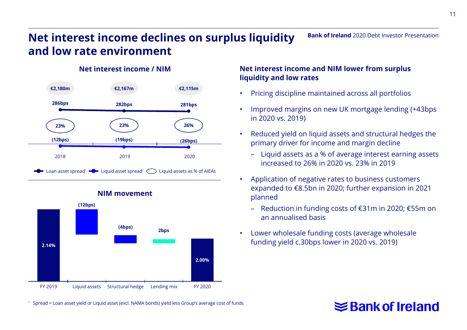**Bank of Ireland** 2020 Debt Investor Presentation

# **Net interest income declines on surplus liquidity and low rate environment**

#### **Net interest income / NIM**





#### **NIM movement**

#### **Net interest income and NIM lower from surplus liquidity and low rates**

- Pricing discipline maintained across all portfolios
- Improved margins on new UK mortgage lending (+43bps in 2020 vs. 2019)
- Reduced yield on liquid assets and structural hedges the primary driver for income and margin decline
	- Liquid assets as a % of average interest earning assets increased to 26% in 2020 vs. 23% in 2019
- Application of negative rates to business customers expanded to €8.5bn in 2020; further expansion in 2021 planned
	- Reduction in funding costs of €31m in 2020; €55m on an annualised basis
- Lower wholesale funding costs (average wholesale funding yield c.30bps lower in 2020 vs. 2019)

# **≤Bank of Ireland**

<sup>1</sup> Spread = Loan asset yield or Liquid asset (excl. NAMA bonds) yield less Group's average cost of funds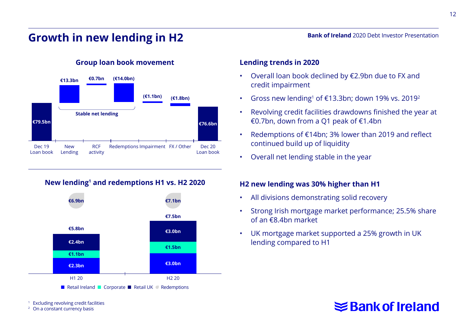# **Growth in new lending in H2**

**Group loan book movement**



#### **New lending1 and redemptions H1 vs. H2 2020**



**Excluding revolving credit facilities** 

<sup>2</sup> On a constant currency basis

#### **Lending trends in 2020**

- Overall loan book declined by €2.9bn due to FX and credit impairment
- Gross new lending<sup>1</sup> of  $\epsilon$ 13.3bn; down 19% vs. 2019<sup>2</sup>
- Revolving credit facilities drawdowns finished the year at €0.7bn, down from a Q1 peak of €1.4bn
- Redemptions of €14bn; 3% lower than 2019 and reflect continued build up of liquidity
- Overall net lending stable in the year

#### **H2 new lending was 30% higher than H1**

- All divisions demonstrating solid recovery
- Strong Irish mortgage market performance; 25.5% share of an €8.4bn market
- UK mortgage market supported a 25% growth in UK lending compared to H1

#### **Bank of Ireland** 2020 Debt Investor Presentation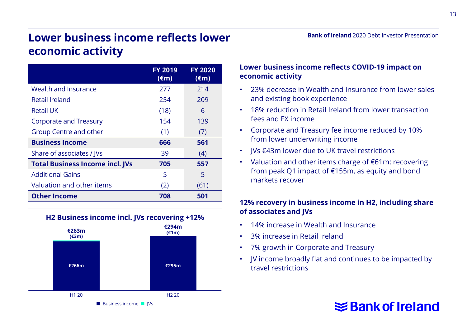#### **Bank of Ireland** 2020 Debt Investor Presentation

# **Lower business income reflects lower economic activity**

|                                        | <b>FY 2019</b><br>$(\epsilon m)$ | <b>FY 2020</b><br>$(\epsilon m)$ |
|----------------------------------------|----------------------------------|----------------------------------|
| Wealth and Insurance                   | 277                              | 214                              |
| Retail Ireland                         | 254                              | 209                              |
| <b>Retail UK</b>                       | (18)                             | 6                                |
| Corporate and Treasury                 | 154                              | 139                              |
| Group Centre and other                 | (1)                              | (7)                              |
| <b>Business Income</b>                 | 666                              | 561                              |
| Share of associates / IVs              | 39                               | (4)                              |
| <b>Total Business Income incl. JVs</b> | 705                              | 557                              |
| <b>Additional Gains</b>                | 5                                | 5                                |
| Valuation and other items              | (2)                              | (61)                             |
| <b>Other Income</b>                    | 708                              | 501                              |





#### **Lower business income reflects COVID-19 impact on economic activity**

- 23% decrease in Wealth and Insurance from lower sales and existing book experience
- 18% reduction in Retail Ireland from lower transaction fees and FX income
- Corporate and Treasury fee income reduced by 10% from lower underwriting income
- JVs €43m lower due to UK travel restrictions
- Valuation and other items charge of €61m; recovering from peak Q1 impact of €155m, as equity and bond markets recover

#### **12% recovery in business income in H2, including share of associates and JVs**

- 14% increase in Wealth and Insurance
- 3% increase in Retail Ireland
- 7% growth in Corporate and Treasury
- JV income broadly flat and continues to be impacted by travel restrictions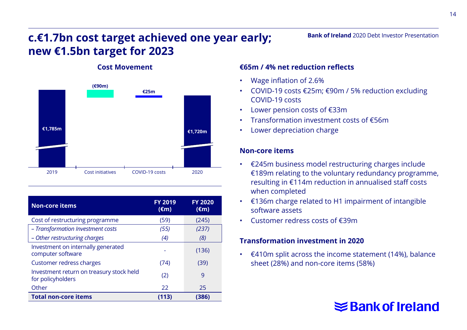# **c.€1.7bn cost target achieved one year early; new €1.5bn target for 2023**



#### **Cost Movement**

| <b>Non-core items</b>                                         | <b>FY 2019</b><br>$(\epsilon m)$ | <b>FY 2020</b><br>$(\epsilon m)$ |
|---------------------------------------------------------------|----------------------------------|----------------------------------|
| Cost of restructuring programme                               | (59)                             | (245)                            |
| - Transformation Investment costs                             | (55)                             | (237)                            |
| - Other restructuring charges                                 | (4)                              | (8)                              |
| Investment on internally generated<br>computer software       |                                  | (136)                            |
| Customer redress charges                                      | (74)                             | (39)                             |
| Investment return on treasury stock held<br>for policyholders | (2)                              | 9                                |
| Other                                                         | 22                               | 25                               |
| <b>Total non-core items</b>                                   | (113)                            | (386)                            |

#### **€65m / 4% net reduction reflects**

- Wage inflation of 2.6%
- COVID-19 costs €25m; €90m / 5% reduction excluding COVID-19 costs

**Bank of Ireland** 2020 Debt Investor Presentation

- Lower pension costs of €33m
- Transformation investment costs of €56m
- Lower depreciation charge

#### **Non-core items**

- €245m business model restructuring charges include €189m relating to the voluntary redundancy programme, resulting in €114m reduction in annualised staff costs when completed
- €136m charge related to H1 impairment of intangible software assets
- Customer redress costs of €39m

#### **Transformation investment in 2020**

• €410m split across the income statement (14%), balance sheet (28%) and non-core items (58%)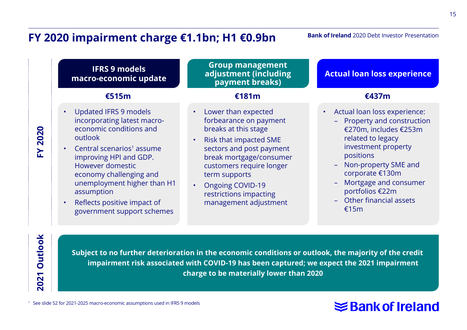# **FY 2020 impairment charge €1.1bn; H1 €0.9bn**

#### **Bank of Ireland** 2020 Debt Investor Presentation

**IFRS 9 models macro-economic update Group management adjustment (including payment breaks)** • Updated IFRS 9 models incorporating latest macroeconomic conditions and outlook  $\cdot$  Central scenarios<sup>1</sup> assume improving HPI and GDP. However domestic economy challenging and unemployment higher than H1 assumption • Lower than expected forbearance on payment breaks at this stage • Risk that impacted SME sectors and post payment break mortgage/consumer customers require longer term supports • Ongoing COVID-19 **€515m €181m €437m**

• Reflects positive impact of government support schemes

**FY 2020** 

**FY 2020** 

**2021 Outlook**

2021

**Outlook** 

restrictions impacting management adjustment **Actual loan loss experience**

- Actual loan loss experience:
	- Property and construction €270m, includes €253m related to legacy investment property positions
	- Non-property SME and corporate €130m
	- Mortgage and consumer portfolios €22m
	- Other financial assets €15m

**Subject to no further deterioration in the economic conditions or outlook, the majority of the credit impairment risk associated with COVID-19 has been captured; we expect the 2021 impairment charge to be materially lower than 2020**

#### <sup>1</sup> See slide 52 for 2021-2025 macro-economic assumptions used in IFRS 9 models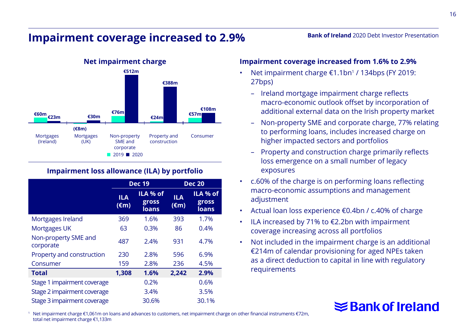## **Impairment coverage increased to 2.9%**



#### **Impairment loss allowance (ILA) by portfolio**

|                                   | <b>Dec 19</b>                |                            |                       | <b>Dec 20</b>              |
|-----------------------------------|------------------------------|----------------------------|-----------------------|----------------------------|
|                                   | <b>ILA</b><br>$(\epsilon m)$ | ILA % of<br>gross<br>loans | ILA<br>$(\epsilon m)$ | ILA % of<br>gross<br>loans |
| Mortgages Ireland                 | 369                          | 1.6%                       | 393                   | 1.7%                       |
| Mortgages UK                      | 63                           | 0.3%                       | 86                    | 0.4%                       |
| Non-property SME and<br>corporate | 487                          | 2.4%                       | 931                   | 4.7%                       |
| Property and construction         | 230                          | 2.8%                       | 596                   | 6.9%                       |
| Consumer                          | 159                          | 2.8%                       | 236                   | 4.5%                       |
| <b>Total</b>                      | 1,308                        | 1.6%                       | 2,242                 | 2.9%                       |
| Stage 1 impairment coverage       |                              | 0.2%                       |                       | 0.6%                       |
| Stage 2 impairment coverage       |                              | 3.4%                       |                       | 3.5%                       |
| Stage 3 impairment coverage       |                              | 30.6%                      |                       | 30.1%                      |

#### **Impairment coverage increased from 1.6% to 2.9%**

- Net impairment charge €1.1bn1 / 134bps (FY 2019: 27bps)
	- Ireland mortgage impairment charge reflects macro-economic outlook offset by incorporation of additional external data on the Irish property market

**Bank of Ireland** 2020 Debt Investor Presentation

- Non-property SME and corporate charge, 77% relating to performing loans, includes increased charge on higher impacted sectors and portfolios
- Property and construction charge primarily reflects loss emergence on a small number of legacy exposures
- c.60% of the charge is on performing loans reflecting macro-economic assumptions and management adjustment
- Actual loan loss experience €0.4bn / c.40% of charge
- ILA increased by 71% to €2.2bn with impairment coverage increasing across all portfolios
- Not included in the impairment charge is an additional €214m of calendar provisioning for aged NPEs taken as a direct deduction to capital in line with regulatory requirements

# **≤Bank of Ireland**

<sup>1</sup> Net impairment charge €1,061m on loans and advances to customers, net impairment charge on other financial instruments €72m, total net impairment charge €1,133m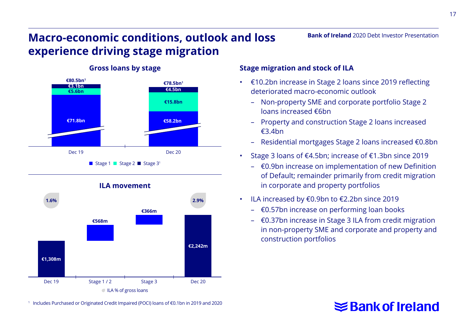# **Macro-economic conditions, outlook and loss experience driving stage migration**



#### **Gross loans by stage**

#### **Stage migration and stock of ILA**

• €10.2bn increase in Stage 2 loans since 2019 reflecting deteriorated macro-economic outlook

**Bank of Ireland** 2020 Debt Investor Presentation

- Non-property SME and corporate portfolio Stage 2 loans increased €6bn
- Property and construction Stage 2 loans increased €3.4bn
- Residential mortgages Stage 2 loans increased €0.8bn
- Stage 3 loans of €4.5bn; increase of €1.3bn since 2019
	- €0.9bn increase on implementation of new Definition of Default; remainder primarily from credit migration in corporate and property portfolios
- ILA increased by €0.9bn to €2.2bn since 2019
	- €0.57bn increase on performing loan books
	- €0.37bn increase in Stage 3 ILA from credit migration in non-property SME and corporate and property and construction portfolios

# **≤Bank of Ireland**

**€568m €366m** Dec 19 Stage 1 / 2 Stage 3 Dec 20 **€1,308m €2,242m** ILA % of gross loans **1.6% 2.9%**

**ILA movement**

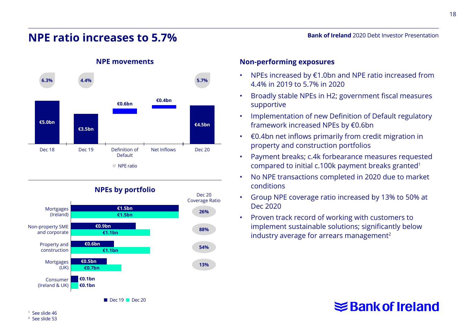#### **NPE ratio increases to 5.7%**

**€3.5bn**

Dec 18 Dec 19 Definition of

**€5.0bn**

See slide 46 <sup>2</sup> See slide 53

**Non-performing exposures NPE movements 6.3% 4.4% 5.7%**

**€4.5bn**

Net Inflows Dec 20

# supportive

- Implementation of new Definition of Default regulatory framework increased NPEs by €0.6bn
- €0.4bn net inflows primarily from credit migration in property and construction portfolios
- Payment breaks; c.4k forbearance measures requested compared to initial c.100k payment breaks granted1
- No NPE transactions completed in 2020 due to market conditions
- Group NPE coverage ratio increased by 13% to 50% at Dec 2020
- Proven track record of working with customers to implement sustainable solutions; significantly below industry average for arrears management<sup>2</sup>

• NPEs increased by €1.0bn and NPE ratio increased from 4.4% in 2019 to 5.7% in 2020

**Bank of Ireland** 2020 Debt Investor Presentation

- Broadly stable NPEs in H2; government fiscal measures
- 
- 



**NPEs by portfolio**

Default

NPE ratio

**€0.6bn €0.4bn**

 $\blacksquare$  Dec 19  $\blacksquare$  Dec 20 **€0.9bn €1.1bn €0.5bn €0.7bn €0.1bn €0.1bn €0.6bn €1.1bn €1.5bn €1.5bn** Dec 20 Coverage Ratio Mortgages (Ireland) Property and construction Non-property SME and corporate Mortgages (UK) Consumer (Ireland & UK) **26%**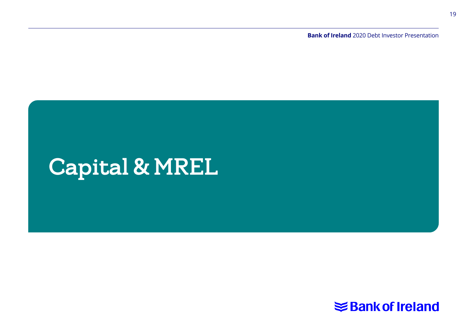**Bank of Ireland** 2020 Debt Investor Presentation

# Capital & MREL

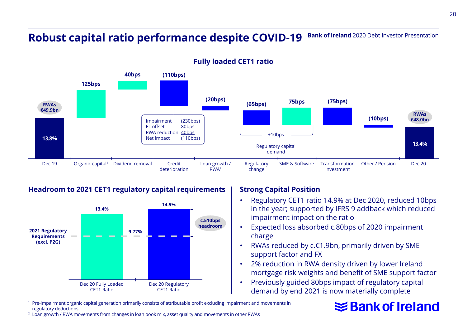#### **Bank of Ireland** 2020 Debt Investor Presentation **Robust capital ratio performance despite COVID-19**



#### **Fully loaded CET1 ratio**

#### **Headroom to 2021 CET1 regulatory capital requirements**



#### **Strong Capital Position**

- Regulatory CET1 ratio 14.9% at Dec 2020, reduced 10bps in the year; supported by IFRS 9 addback which reduced impairment impact on the ratio
- Expected loss absorbed c.80bps of 2020 impairment charge
- RWAs reduced by c.€1.9bn, primarily driven by SME support factor and FX
- 2% reduction in RWA density driven by lower Ireland mortgage risk weights and benefit of SME support factor
- Previously guided 80bps impact of regulatory capital demand by end 2021 is now materially complete
- <sup>1</sup> Pre-impairment organic capital generation primarily consists of attributable profit excluding impairment and movements in regulatory deductions

# **≋Bank of Ireland**

<sup>2</sup> Loan growth / RWA movements from changes in loan book mix, asset quality and movements in other RWAs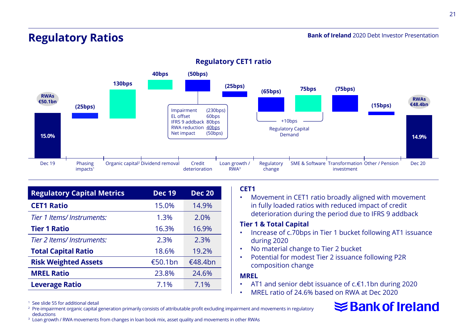#### **Bank of Ireland** 2020 Debt Investor Presentation

## **Regulatory Ratios**



#### **Regulatory CET1 ratio**

| <b>Regulatory Capital Metrics</b> | <b>Dec 19</b> | <b>Dec 20</b> |
|-----------------------------------|---------------|---------------|
| <b>CET1 Ratio</b>                 | 15.0%         | 14.9%         |
| Tier 1 Items/ Instruments:        | 1.3%          | 2.0%          |
| <b>Tier 1 Ratio</b>               | 16.3%         | 16.9%         |
| Tier 2 Items/ Instruments:        | 2.3%          | 2.3%          |
| <b>Total Capital Ratio</b>        | 18.6%         | 19.2%         |
| <b>Risk Weighted Assets</b>       | €50.1bn       | €48.4bn       |
| <b>MREL Ratio</b>                 | 23.8%         | 24.6%         |
| <b>Leverage Ratio</b>             | 7.1%          | 7.1%          |

#### **CET1**

• Movement in CET1 ratio broadly aligned with movement in fully loaded ratios with reduced impact of credit deterioration during the period due to IFRS 9 addback

#### **Tier 1 & Total Capital**

- Increase of c.70bps in Tier 1 bucket following AT1 issuance during 2020
- No material change to Tier 2 bucket
- Potential for modest Tier 2 issuance following P2R composition change

#### **MREL**

- AT1 and senior debt issuance of c.€1.1bn during 2020
- MREL ratio of 24.6% based on RWA at Dec 2020

<sup>1</sup> See slide 55 for additional detail<br><sup>2</sup> Pre-impairment organic capital generation primarily consists of attributable profit excluding impairment and movements in regulatory deductions

<sup>&</sup>lt;sup>3</sup> Loan growth / RWA movements from changes in loan book mix, asset quality and movements in other RWAs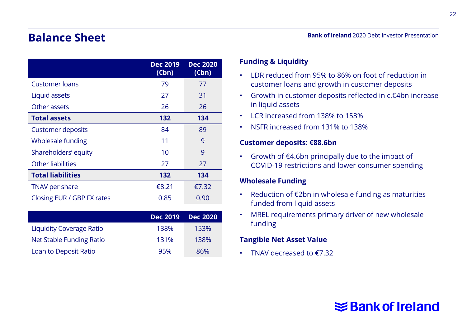# **Balance Sheet**

|                            | <b>Dec 2019</b><br>$(\epsilon$ bn) | <b>Dec 2020</b><br>$(\epsilon$ bn) |
|----------------------------|------------------------------------|------------------------------------|
| <b>Customer loans</b>      | 79                                 | 77                                 |
| Liquid assets              | 27                                 | 31                                 |
| Other assets               | 26                                 | 26                                 |
| <b>Total assets</b>        | 132                                | 134                                |
| <b>Customer deposits</b>   | 84                                 | 89                                 |
| Wholesale funding          | 11                                 | 9                                  |
| Shareholders' equity       | 10                                 | 9                                  |
| Other liabilities<br>27    |                                    | 27                                 |
| <b>Total liabilities</b>   | 132                                | 134                                |
| TNAV per share<br>€8.21    |                                    | €7.32                              |
| Closing EUR / GBP FX rates | 0.85                               | 0.90                               |

|                          | Dec 2019 | <b>Dec 2020</b> |
|--------------------------|----------|-----------------|
| Liquidity Coverage Ratio | 138%     | 153%            |
| Net Stable Funding Ratio | 131%     | 138%            |
| Loan to Deposit Ratio    | 95%      | 86%             |

#### **Funding & Liquidity**

- LDR reduced from 95% to 86% on foot of reduction in customer loans and growth in customer deposits
- Growth in customer deposits reflected in c.€4bn increase in liquid assets
- LCR increased from 138% to 153%
- NSFR increased from 131% to 138%

#### **Customer deposits: €88.6bn**

• Growth of €4.6bn principally due to the impact of COVID-19 restrictions and lower consumer spending

#### **Wholesale Funding**

- Reduction of €2bn in wholesale funding as maturities funded from liquid assets
- MREL requirements primary driver of new wholesale funding

#### **Tangible Net Asset Value**

• TNAV decreased to €7.32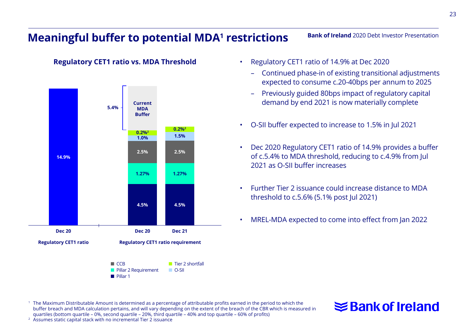## **Meaningful buffer to potential MDA<sup>1</sup> restrictions**

#### **Regulatory CET1 ratio vs. MDA Threshold**



- Regulatory CET1 ratio of 14.9% at Dec 2020
	- Continued phase-in of existing transitional adjustments expected to consume c.20-40bps per annum to 2025

**Bank of Ireland** 2020 Debt Investor Presentation

- Previously guided 80bps impact of regulatory capital demand by end 2021 is now materially complete
- O-SII buffer expected to increase to 1.5% in Jul 2021
- Dec 2020 Regulatory CET1 ratio of 14.9% provides a buffer of c.5.4% to MDA threshold, reducing to c.4.9% from Jul 2021 as O-SII buffer increases
- Further Tier 2 issuance could increase distance to MDA threshold to c.5.6% (5.1% post Jul 2021)
- MREL-MDA expected to come into effect from Jan 2022

<sup>1</sup> The Maximum Distributable Amount is determined as a percentage of attributable profits earned in the period to which the buffer breach and MDA calculation pertains, and will vary depending on the extent of the breach of the CBR which is measured in quartiles (bottom quartile – 0%, second quartile – 20%, third quartile – 40% and top quartile – 60% of profits) <sup>2</sup> Assumes static capital stack with no incremental Tier 2 issuance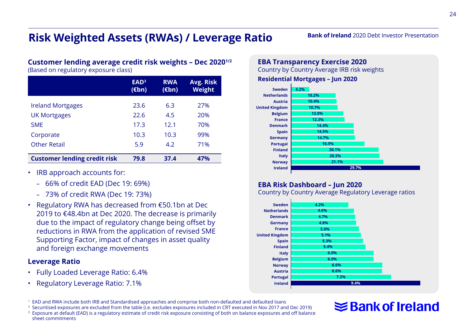# **Risk Weighted Assets (RWAs) / Leverage Ratio**

#### **Customer lending average credit risk weights – Dec 20201/2**

(Based on regulatory exposure class)

|                                     | EAD <sup>3</sup><br>$(\epsilon$ bn) | <b>RWA</b><br>$(\epsilon$ bn) | Avg. Risk<br>Weight |
|-------------------------------------|-------------------------------------|-------------------------------|---------------------|
| <b>Ireland Mortgages</b>            | 23.6                                | 6.3                           | 27%                 |
| <b>UK Mortgages</b>                 | 22.6                                | 4.5                           | 20%                 |
| <b>SMF</b>                          | 17.3                                | 12.1                          | 70%                 |
| Corporate                           | 10.3                                | 10.3                          | 99%                 |
| <b>Other Retail</b>                 | 5.9                                 | 4.2                           | 71%                 |
| <b>Customer lending credit risk</b> | 79.8                                | 37.4                          | 47%                 |

- IRB approach accounts for:
	- 66% of credit EAD (Dec 19: 69%)
	- 73% of credit RWA (Dec 19: 73%)
- Regulatory RWA has decreased from €50.1bn at Dec 2019 to €48.4bn at Dec 2020. The decrease is primarily due to the impact of regulatory change being offset by reductions in RWA from the application of revised SME Supporting Factor, impact of changes in asset quality and foreign exchange movements

#### **Leverage Ratio**

- Fully Loaded Leverage Ratio: 6.4%
- Regulatory Leverage Ratio: 7.1%

**EBA Transparency Exercise 2020**

Country by Country Average IRB risk weights

**Residential Mortgages – Jun 2020**



#### **EBA Risk Dashboard – Jun 2020**

Country by Country Average Regulatory Leverage ratios



# **≤Bank of Ireland**

**Bank of Ireland** 2020 Debt Investor Presentation

<sup>1</sup> EAD and RWA include both IRB and Standardised approaches and comprise both non-defaulted and defaulted loans <sup>2</sup> Securitised exposures are excluded from the table (i.e. excludes exposures included in CRT executed in Nov 2017 and Dec 2019)

<sup>3</sup> Exposure at default (EAD) is a regulatory estimate of credit risk exposure consisting of both on balance exposures and off balance sheet commitments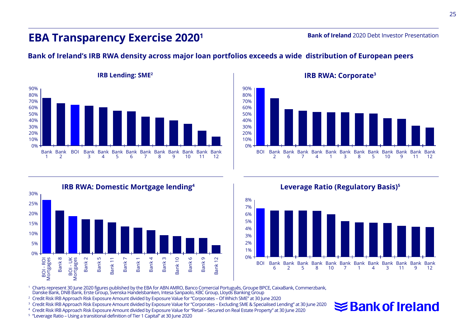#### **EBA Transparency Exercise 20201**

**Bank of Ireland** 2020 Debt Investor Presentation

#### **Bank of Ireland's IRB RWA density across major loan portfolios exceeds a wide distribution of European peers**













<sup>1</sup> Charts represent 30 June 2020 figures published by the EBA for ABN AMRO, Banco Comercial Português, Groupe BPCE, CaixaBank, Commerzbank, Danske Bank, DNB Bank, Erste Group, Svenska Handelsbanken, Intesa Sanpaolo, KBC Group, Lloyds Banking Group

<sup>2</sup> Credit Risk IRB Approach Risk Exposure Amount divided by Exposure Value for "Corporates – Of Which SME" at 30 June 2020

<sup>3</sup> Credit Risk IRB Approach Risk Exposure Amount divided by Exposure Value for "Corporates – Excluding SME & Specialised Lending" at 30 June 2020

<sup>4</sup> Credit Risk IRB Approach Risk Exposure Amount divided by Exposure Value for "Retail – Secured on Real Estate Property" at 30 June 2020 <sup>5</sup> "Leverage Ratio – Using a transitional definition of Tier 1 Capital" at 30 June 2020

 $\leq$  Bank of Ireland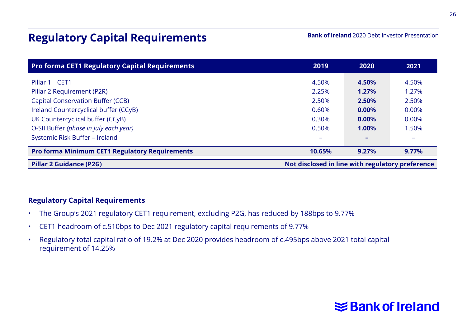# **Regulatory Capital Requirements**

**Bank of Ireland** 2020 Debt Investor Presentation

| <b>Pro forma CET1 Regulatory Capital Requirements</b> | 2019                                             | 2020  | 2021                     |
|-------------------------------------------------------|--------------------------------------------------|-------|--------------------------|
| Pillar 1 - CET1                                       | 4.50%                                            | 4.50% | 4.50%                    |
| Pillar 2 Requirement (P2R)                            | 2.25%                                            | 1.27% | 1.27%                    |
| <b>Capital Conservation Buffer (CCB)</b>              | 2.50%                                            | 2.50% | 2.50%                    |
| Ireland Countercyclical buffer (CCyB)                 | 0.60%                                            | 0.00% | 0.00%                    |
| UK Countercyclical buffer (CCyB)                      | 0.30%                                            | 0.00% | 0.00%                    |
| O-SII Buffer (phase in July each year)                | 0.50%                                            | 1.00% | 1.50%                    |
| Systemic Risk Buffer - Ireland                        |                                                  |       | $\overline{\phantom{a}}$ |
| <b>Pro forma Minimum CET1 Regulatory Requirements</b> | 10.65%                                           | 9.27% | 9.77%                    |
| <b>Pillar 2 Guidance (P2G)</b>                        | Not disclosed in line with regulatory preference |       |                          |

#### **Regulatory Capital Requirements**

- The Group's 2021 regulatory CET1 requirement, excluding P2G, has reduced by 188bps to 9.77%
- CET1 headroom of c.510bps to Dec 2021 regulatory capital requirements of 9.77%
- Regulatory total capital ratio of 19.2% at Dec 2020 provides headroom of c.495bps above 2021 total capital requirement of 14.25%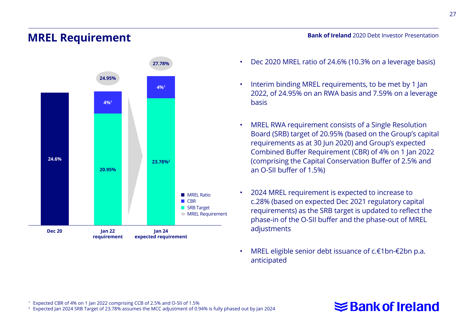#### **MREL Requirement**



**Bank of Ireland** 2020 Debt Investor Presentation

- Dec 2020 MREL ratio of 24.6% (10.3% on a leverage basis)
- Interim binding MREL requirements, to be met by 1 Jan 2022, of 24.95% on an RWA basis and 7.59% on a leverage basis
- MREL RWA requirement consists of a Single Resolution Board (SRB) target of 20.95% (based on the Group's capital requirements as at 30 Jun 2020) and Group's expected Combined Buffer Requirement (CBR) of 4% on 1 Jan 2022 (comprising the Capital Conservation Buffer of 2.5% and an O-SII buffer of 1.5%)
- 2024 MREL requirement is expected to increase to c.28% (based on expected Dec 2021 regulatory capital requirements) as the SRB target is updated to reflect the phase-in of the O-SII buffer and the phase-out of MREL adjustments
- MREL eligible senior debt issuance of c.€1bn-€2bn p.a. anticipated

# **≤Bank of Ireland**

<sup>1</sup> Expected CBR of 4% on 1 Jan 2022 comprising CCB of 2.5% and O-SII of 1.5% <sup>2</sup> Expected Jan 2024 SRB Target of 23.78% assumes the MCC adjustment of 0.94% is fully phased out by Jan 2024 27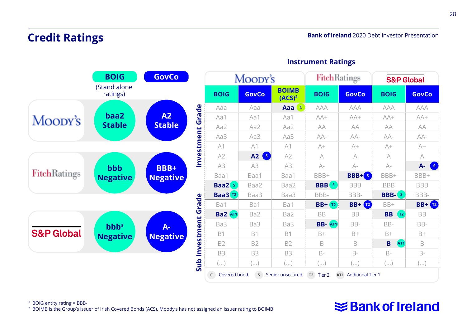# **Credit Ratings**



#### **Instrument Ratings**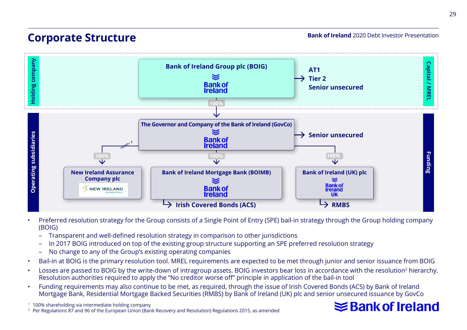# **Corporate Structure**

**Bank of Ireland** 2020 Debt Investor Presentation



- Preferred resolution strategy for the Group consists of a Single Point of Entry (SPE) bail-in strategy through the Group holding company (BOIG)
	- Transparent and well-defined resolution strategy in comparison to other jurisdictions
	- In 2017 BOIG introduced on top of the existing group structure supporting an SPE preferred resolution strategy
	- No change to any of the Group's existing operating companies
- Bail-in at BOIG is the primary resolution tool. MREL requirements are expected to be met through junior and senior issuance from BOIG
- Losses are passed to BOIG by the write-down of intragroup assets. BOIG investors bear loss in accordance with the resolution<sup>2</sup> hierarchy. Resolution authorities required to apply the "No creditor worse off" principle in application of the bail-in tool
- Funding requirements may also continue to be met, as required, through the issue of Irish Covered Bonds (ACS) by Bank of Ireland Mortgage Bank, Residential Mortgage Backed Securities (RMBS) by Bank of Ireland (UK) plc and senior unsecured issuance by GovCo

<sup>1</sup> 100% shareholding via intermediate holding company <sup>2</sup> Per Regulations 87 and 96 of the European Union (Bank Recovery and Resolution) Regulations 2015, as amended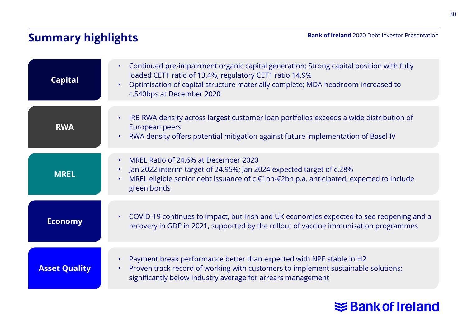# **Summary highlights**

**Bank of Ireland** 2020 Debt Investor Presentation

| <b>Capital</b>       | Continued pre-impairment organic capital generation; Strong capital position with fully<br>$\bullet$<br>loaded CET1 ratio of 13.4%, regulatory CET1 ratio 14.9%<br>Optimisation of capital structure materially complete; MDA headroom increased to<br>$\bullet$<br>c.540bps at December 2020 |
|----------------------|-----------------------------------------------------------------------------------------------------------------------------------------------------------------------------------------------------------------------------------------------------------------------------------------------|
| <b>RWA</b>           | IRB RWA density across largest customer loan portfolios exceeds a wide distribution of<br>$\bullet$<br>European peers<br>RWA density offers potential mitigation against future implementation of Basel IV<br>$\bullet$                                                                       |
| <b>MREL</b>          | MREL Ratio of 24.6% at December 2020<br>$\bullet$<br>Jan 2022 interim target of 24.95%; Jan 2024 expected target of c.28%<br>$\bullet$<br>MREL eligible senior debt issuance of c.€1bn-€2bn p.a. anticipated; expected to include<br>green bonds                                              |
| <b>Economy</b>       | COVID-19 continues to impact, but Irish and UK economies expected to see reopening and a<br>$\bullet$<br>recovery in GDP in 2021, supported by the rollout of vaccine immunisation programmes                                                                                                 |
| <b>Asset Quality</b> | Payment break performance better than expected with NPE stable in H2<br>$\bullet$<br>Proven track record of working with customers to implement sustainable solutions;<br>٠<br>significantly below industry average for arrears management                                                    |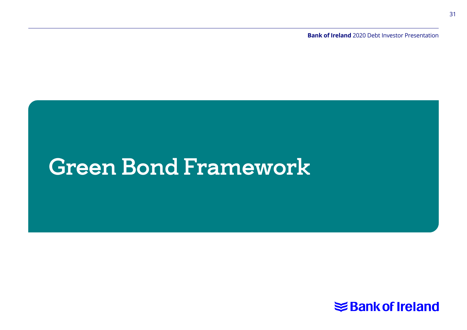**Bank of Ireland** 2020 Debt Investor Presentation

# Green Bond Framework

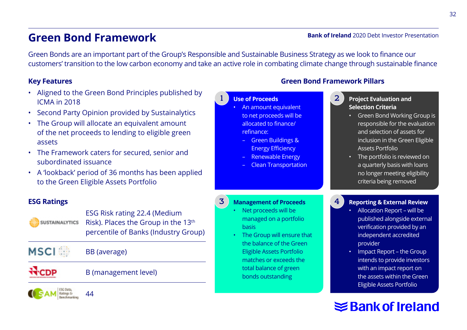# **Green Bond Framework**

#### **Bank of Ireland** 2020 Debt Investor Presentation

Green Bonds are an important part of the Group's Responsible and Sustainable Business Strategy as we look to finance our customers' transition to the low carbon economy and take an active role in combating climate change through sustainable finance

1

#### **Key Features**

- Aligned to the Green Bond Principles published by ICMA in 2018
- Second Party Opinion provided by Sustainalytics
- The Group will allocate an equivalent amount of the net proceeds to lending to eligible green assets
- The Framework caters for secured, senior and subordinated issuance
- A 'lookback' period of 36 months has been applied to the Green Eligible Assets Portfolio

#### **ESG Ratings**

**SUSTAINALYTICS** 

ESG Risk rating 22.4 (Medium Risk). Places the Group in the 13<sup>th</sup> percentile of Banks (Industry Group)

**MSCI** BB (average)

44

Ratings D Benchmarkin B (management level)

**Green Bond Framework Pillars**

4

#### **Use of Proceeds**

- An amount equivalent to net proceeds will be allocated to finance/ refinance:
	- Green Buildings & Energy Efficiency
	- Renewable Energy
	- Clean Transportation

#### **Project Evaluation and Selection Criteria** 2

- Green Bond Working Group is responsible for the evaluation and selection of assets for inclusion in the Green Eligible Assets Portfolio
- The portfolio is reviewed on a quarterly basis with loans no longer meeting eligibility criteria being removed

#### **Management of Proceeds** 3

- Net proceeds will be managed on a portfolio basis
- The Group will ensure that the balance of the Green Eligible Assets Portfolio matches or exceeds the total balance of green bonds outstanding

#### **Reporting & External Review**

- Allocation Report will be published alongside external verification provided by an independent accredited provider
- Impact Report the Group intends to provide investors with an impact report on the assets within the Green Eligible Assets Portfolio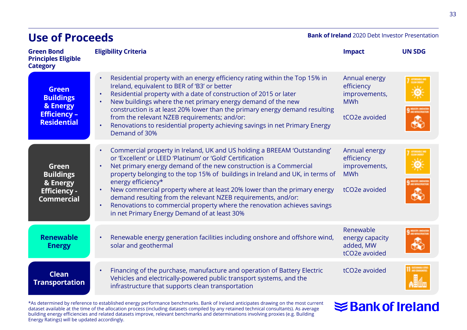| <b>Use of Proceeds</b>                                                                    |                                                                                                                                                                                                                                                                                                                                                                                                                                                                                                                                                                                                                                   | <b>Bank of Ireland</b> 2020 Debt Investor Presentation                                   |               |
|-------------------------------------------------------------------------------------------|-----------------------------------------------------------------------------------------------------------------------------------------------------------------------------------------------------------------------------------------------------------------------------------------------------------------------------------------------------------------------------------------------------------------------------------------------------------------------------------------------------------------------------------------------------------------------------------------------------------------------------------|------------------------------------------------------------------------------------------|---------------|
| <b>Green Bond</b><br><b>Principles Eligible</b><br><b>Category</b>                        | <b>Eligibility Criteria</b>                                                                                                                                                                                                                                                                                                                                                                                                                                                                                                                                                                                                       | <b>Impact</b>                                                                            | <b>UN SDG</b> |
| <b>Green</b><br><b>Buildings</b><br>& Energy<br><b>Efficiency -</b><br><b>Residential</b> | Residential property with an energy efficiency rating within the Top 15% in<br>$\bullet$<br>Ireland, equivalent to BER of 'B3' or better<br>Residential property with a date of construction of 2015 or later<br>$\bullet$<br>New buildings where the net primary energy demand of the new<br>$\bullet$<br>construction is at least 20% lower than the primary energy demand resulting<br>from the relevant NZEB requirements; and/or:<br>Renovations to residential property achieving savings in net Primary Energy<br>$\bullet$<br>Demand of 30%                                                                               | Annual energy<br>efficiency<br>improvements,<br><b>MWh</b><br>tCO <sub>2</sub> e avoided |               |
| Green<br><b>Buildings</b><br>& Energy<br><b>Efficiency -</b><br><b>Commercial</b>         | Commercial property in Ireland, UK and US holding a BREEAM 'Outstanding'<br>$\bullet$<br>or 'Excellent' or LEED 'Platinum' or 'Gold' Certification<br>Net primary energy demand of the new construction is a Commercial<br>property belonging to the top 15% of buildings in Ireland and UK, in terms of<br>energy efficiency*<br>New commercial property where at least 20% lower than the primary energy<br>$\bullet$<br>demand resulting from the relevant NZEB requirements, and/or:<br>Renovations to commercial property where the renovation achieves savings<br>$\bullet$<br>in net Primary Energy Demand of at least 30% | Annual energy<br>efficiency<br>improvements,<br><b>MWh</b><br>tCO2e avoided              |               |
| <b>Renewable</b><br><b>Energy</b>                                                         | Renewable energy generation facilities including onshore and offshore wind,<br>$\bullet$<br>solar and geothermal                                                                                                                                                                                                                                                                                                                                                                                                                                                                                                                  | Renewable<br>energy capacity<br>added, MW<br>tCO2e avoided                               |               |
| <b>Clean</b><br><b>Transportation</b>                                                     | Financing of the purchase, manufacture and operation of Battery Electric<br>٠<br>Vehicles and electrically-powered public transport systems, and the<br>infrastructure that supports clean transportation                                                                                                                                                                                                                                                                                                                                                                                                                         | tCO <sub>2</sub> e avoided                                                               |               |

\*As determined by reference to established energy performance benchmarks. Bank of Ireland anticipates drawing on the most current<br>dataset available at the time of the allocation process (including datasets compiled by any

**Use of Proceeds**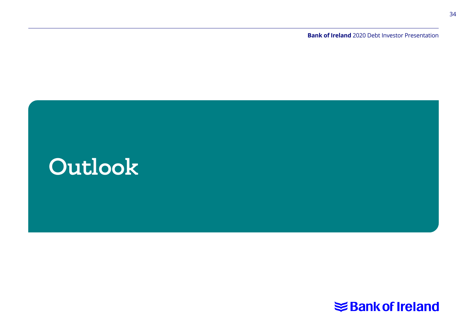**Bank of Ireland** 2020 Debt Investor Presentation



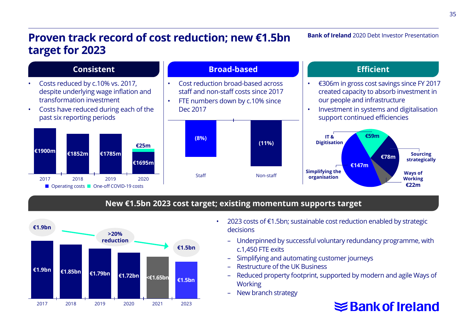# **Proven track record of cost reduction; new €1.5bn target for 2023**

**Bank of Ireland** 2020 Debt Investor Presentation



#### **New €1.5bn 2023 cost target; existing momentum supports target**



- 2023 costs of €1.5bn; sustainable cost reduction enabled by strategic decisions
	- Underpinned by successful voluntary redundancy programme, with c.1,450 FTE exits
	- Simplifying and automating customer journeys
	- Restructure of the UK Business
	- Reduced property footprint, supported by modern and agile Ways of Working
	- New branch strategy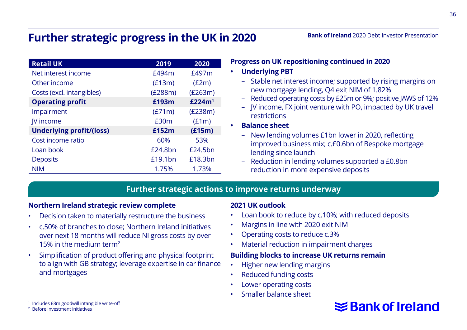# **Further strategic progress in the UK in 2020**

| <b>Retail UK</b>                | 2019    | 2020               |
|---------------------------------|---------|--------------------|
| Net interest income             | £494m   | £497m              |
| Other income                    | (E13m)  | (E2m)              |
| Costs (excl. intangibles)       | (£288m) | (E263m)            |
| <b>Operating profit</b>         | £193m   | £224m <sup>1</sup> |
| Impairment                      | (E71m)  | (E238m)            |
| IV income                       | £30m    | (E1m)              |
| <b>Underlying profit/(loss)</b> | £152m   | (E15m)             |
| Cost income ratio               | 60%     | 53%                |
| Loan book                       | £24.8bn | $f$ 24.5 $hn$      |
| <b>Deposits</b>                 | £19.1bn | £18.3bn            |
| <b>NIM</b>                      | 1.75%   | 1.73%              |

#### **Bank of Ireland** 2020 Debt Investor Presentation

**Progress on UK repositioning continued in 2020**

#### **• Underlying PBT**

- Stable net interest income; supported by rising margins on new mortgage lending, Q4 exit NIM of 1.82%
- Reduced operating costs by £25m or 9%; positive JAWS of 12%
- JV income, FX joint venture with PO, impacted by UK travel restrictions
- **• Balance sheet**
	- New lending volumes £1bn lower in 2020, reflecting improved business mix; c.£0.6bn of Bespoke mortgage lending since launch
	- Reduction in lending volumes supported a £0.8bn reduction in more expensive deposits

#### **Further strategic actions to improve returns underway**

#### **Northern Ireland strategic review complete**

- Decision taken to materially restructure the business
- c.50% of branches to close; Northern Ireland initiatives over next 18 months will reduce NI gross costs by over 15% in the medium term2
- Simplification of product offering and physical footprint to align with GB strategy; leverage expertise in car finance and mortgages

#### **2021 UK outlook**

- Loan book to reduce by c.10%; with reduced deposits
- Margins in line with 2020 exit NIM
- Operating costs to reduce c.3%
- Material reduction in impairment charges

#### **Building blocks to increase UK returns remain**

- Higher new lending margins
- Reduced funding costs
- Lower operating costs
- Smaller balance sheet

# **≤Bank of Ireland**

36

<sup>1</sup> Includes £8m goodwill intangible write-off

<sup>2</sup> Before investment initiatives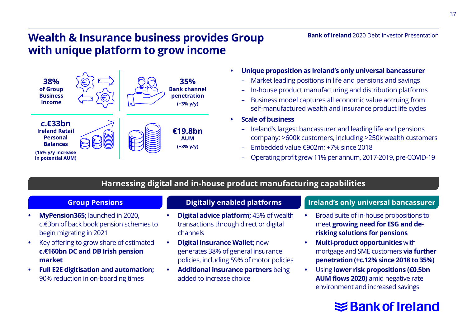# **Wealth & Insurance business provides Group with unique platform to grow income**



- **• Unique proposition as Ireland's only universal bancassurer**
	- Market leading positions in life and pensions and savings
	- In-house product manufacturing and distribution platforms
	- Business model captures all economic value accruing from self-manufactured wealth and insurance product life cycles
- **• Scale of business** 
	- Ireland's largest bancassurer and leading life and pensions company; >600k customers, including >250k wealth customers
	- Embedded value €902m; +7% since 2018
	- Operating profit grew 11% per annum, 2017-2019, pre-COVID-19

#### **Harnessing digital and in-house product manufacturing capabilities**

- **• MyPension365;** launched in 2020, c.€3bn of back book pension schemes to begin migrating in 2021
- **•** Key offering to grow share of estimated **c.€160bn DC and DB Irish pension market**
- **• Full E2E digitisation and automation;**  90% reduction in on-boarding times

- **• Digital advice platform;** 45% of wealth transactions through direct or digital channels
- **• Digital Insurance Wallet;** now generates 38% of general insurance policies, including 59% of motor policies
- **• Additional insurance partners** being added to increase choice

#### **Group Pensions Digitally enabled platforms Ireland's only universal bancassurer**

**Bank of Ireland** 2020 Debt Investor Presentation

- **•** Broad suite of in-house propositions to meet **growing need for ESG and derisking solutions for pensions**
- **• Multi-product opportunities** with mortgage and SME customers **via further penetration (+c.12% since 2018 to 35%)**
- **•** Using **lower risk propositions (€0.5bn AUM flows 2020)** amid negative rate environment and increased savings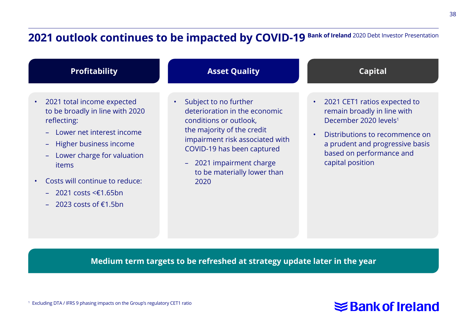# **2021 outlook continues to be impacted by COVID-19 Bank of Ireland 2020 Debt Investor Presentation**



- 2021 total income expected to be broadly in line with 2020 reflecting:
	- Lower net interest income
	- Higher business income
	- Lower charge for valuation items
- Costs will continue to reduce:
	- 2021 costs <€1.65bn
	- 2023 costs of €1.5bn

#### **Asset Quality**

- Subject to no further deterioration in the economic conditions or outlook, the majority of the credit impairment risk associated with COVID-19 has been captured
	- 2021 impairment charge to be materially lower than 2020



- 2021 CET1 ratios expected to remain broadly in line with December 2020 levels1
- Distributions to recommence on a prudent and progressive basis based on performance and capital position

**Medium term targets to be refreshed at strategy update later in the year**

<sup>1</sup> Excluding DTA / IFRS 9 phasing impacts on the Group's regulatory CET1 ratio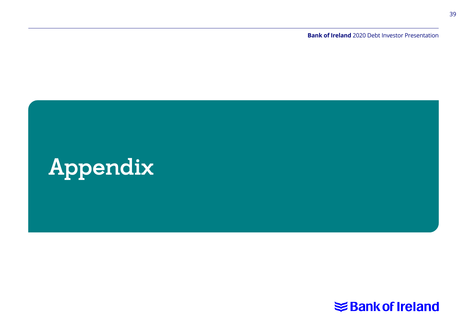**Bank of Ireland** 2020 Debt Investor Presentation

# Appendix

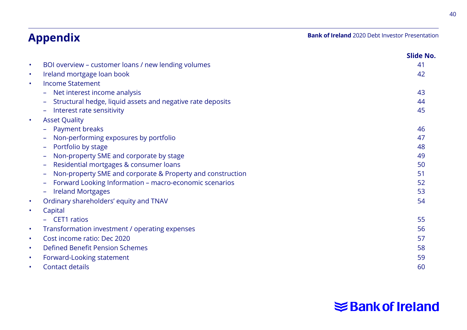# **Appendix**

**Bank of Ireland** 2020 Debt Investor Presentation

|   |                                                            | Slide No. |
|---|------------------------------------------------------------|-----------|
| ٠ | BOI overview – customer loans / new lending volumes        | 41        |
| ۰ | Ireland mortgage loan book                                 | 42        |
| ٠ | <b>Income Statement</b>                                    |           |
|   | Net interest income analysis                               | 43        |
|   | Structural hedge, liquid assets and negative rate deposits | 44        |
|   | Interest rate sensitivity                                  | 45        |
| ٠ | <b>Asset Quality</b>                                       |           |
|   | Payment breaks                                             | 46        |
|   | Non-performing exposures by portfolio                      | 47        |
|   | Portfolio by stage                                         | 48        |
|   | Non-property SME and corporate by stage                    | 49        |
|   | Residential mortgages & consumer loans                     | 50        |
|   | Non-property SME and corporate & Property and construction | 51        |
|   | Forward Looking Information - macro-economic scenarios     | 52        |
|   | <b>Ireland Mortgages</b>                                   | 53        |
| ٠ | Ordinary shareholders' equity and TNAV                     | 54        |
| ٠ | Capital                                                    |           |
|   | <b>CET1</b> ratios                                         | 55        |
| ٠ | Transformation investment / operating expenses             | 56        |
| ٠ | Cost income ratio: Dec 2020                                | 57        |
| ٠ | Defined Benefit Pension Schemes                            | 58        |
| ٠ | Forward-Looking statement                                  | 59        |
|   | Contact details                                            | 60        |

# **Shank of Ireland**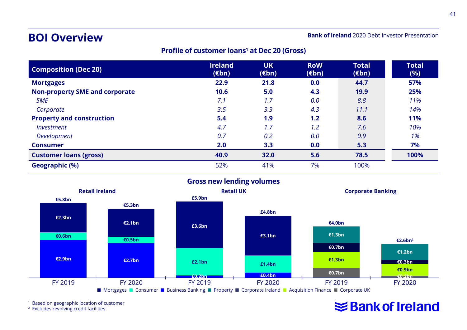## **BOI Overview**

**Bank of Ireland** 2020 Debt Investor Presentation

#### **Profile of customer loans1 at Dec 20 (Gross)**

| <b>Composition (Dec 20)</b>           | <b>Ireland</b><br>$(\epsilon$ bn) | <b>UK</b><br>$(\epsilon$ bn) | <b>RoW</b><br>$(\epsilon$ bn) | <b>Total</b><br>$(\epsilon$ bn) | <b>Total</b><br>(%) |
|---------------------------------------|-----------------------------------|------------------------------|-------------------------------|---------------------------------|---------------------|
| <b>Mortgages</b>                      | 22.9                              | 21.8                         | 0.0                           | 44.7                            | 57%                 |
| <b>Non-property SME and corporate</b> | 10.6                              | 5.0                          | 4.3                           | 19.9                            | 25%                 |
| <b>SME</b>                            | 7.1                               | 1.7                          | 0.0                           | 8.8                             | 11%                 |
| Corporate                             | 3.5                               | 3.3                          | 4.3                           | 11.1                            | 14%                 |
| <b>Property and construction</b>      | 5.4                               | 1.9                          | 1.2                           | 8.6                             | 11%                 |
| Investment                            | 4.7                               | 1.7                          | 1.2                           | 7.6                             | 10%                 |
| <b>Development</b>                    | 0.7                               | 0.2                          | 0.0                           | 0.9                             | 1%                  |
| <b>Consumer</b>                       | 2.0                               | 3.3                          | 0.0                           | 5.3                             | 7%                  |
| <b>Customer loans (gross)</b>         | 40.9                              | 32.0                         | 5.6                           | 78.5                            | 100%                |
| Geographic (%)                        | 52%                               | 41%                          | 7%                            | 100%                            |                     |



<sup>1</sup> Based on geographic location of customer

<sup>2</sup> Excludes revolving credit facilities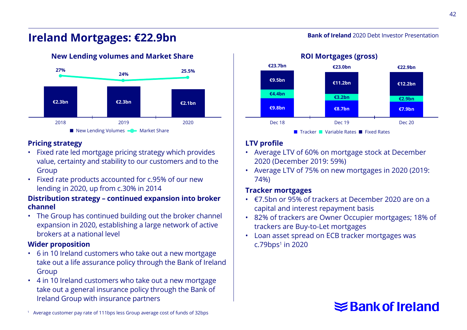#### **Bank of Ireland** 2020 Debt Investor Presentation

# **Ireland Mortgages: €22.9bn**



#### **Pricing strategy**

- Fixed rate led mortgage pricing strategy which provides value, certainty and stability to our customers and to the Group
- Fixed rate products accounted for c.95% of our new lending in 2020, up from c.30% in 2014

#### **Distribution strategy – continued expansion into broker channel**

• The Group has continued building out the broker channel expansion in 2020, establishing a large network of active brokers at a national level

#### **Wider proposition**

- 6 in 10 Ireland customers who take out a new mortgage take out a life assurance policy through the Bank of Ireland Group
- 4 in 10 Ireland customers who take out a new mortgage take out a general insurance policy through the Bank of Ireland Group with insurance partners



n Tracker Nariable Rates **n** Fixed Rates

#### **LTV profile**

- Average LTV of 60% on mortgage stock at December 2020 (December 2019: 59%)
- Average LTV of 75% on new mortgages in 2020 (2019: 74%)

#### **Tracker mortgages**

- €7.5bn or 95% of trackers at December 2020 are on a capital and interest repayment basis
- 82% of trackers are Owner Occupier mortgages; 18% of trackers are Buy-to-Let mortgages
- Loan asset spread on ECB tracker mortgages was  $c.79$ bps<sup>1</sup> in 2020

# **≤Bank of Ireland**

1 Average customer pay rate of 111bps less Group average cost of funds of 32bps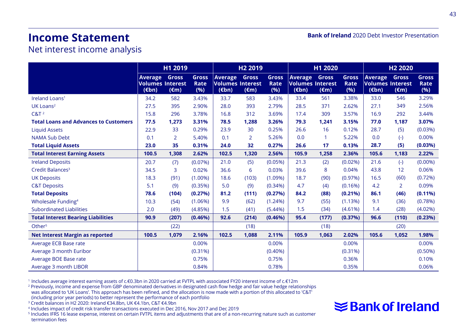# **Income Statement**

**Bank of Ireland** 2020 Debt Investor Presentation

#### Net interest income analysis

|                                              |                                                              | H1 2019                        |                             |                                                       | H <sub>2</sub> 2019            |                      | H1 2020                                                                  |                                |                             | H <sub>2</sub> 2020                                          |                         |                             |  |
|----------------------------------------------|--------------------------------------------------------------|--------------------------------|-----------------------------|-------------------------------------------------------|--------------------------------|----------------------|--------------------------------------------------------------------------|--------------------------------|-----------------------------|--------------------------------------------------------------|-------------------------|-----------------------------|--|
|                                              | <b>Average</b><br><b>Volumes Interest</b><br>$(\epsilon$ bn) | <b>Gross</b><br>$(\epsilon m)$ | <b>Gross</b><br>Rate<br>(%) | Average<br><b>Volumes Interest</b><br>$(\epsilon$ bn) | <b>Gross</b><br>$(\epsilon m)$ | Gross<br>Rate<br>(%) | <b>Average</b><br><b>Volumes Interest</b><br>$(\epsilon$ <sub>bn</sub> ) | <b>Gross</b><br>$(\epsilon m)$ | <b>Gross</b><br>Rate<br>(%) | <b>Average</b><br><b>Volumes Interest</b><br>$(\epsilon$ bn) | Gross<br>$(\epsilon m)$ | <b>Gross</b><br>Rate<br>(%) |  |
| Ireland Loans <sup>1</sup>                   | 34.2                                                         | 582                            | 3.43%                       | 33.7                                                  | 583                            | 3.43%                | 33.4                                                                     | 561                            | 3.38%                       | 33.0                                                         | 546                     | 3.29%                       |  |
| UK Loans <sup>2</sup>                        | 27.5                                                         | 395                            | 2.90%                       | 28.0                                                  | 393                            | 2.79%                | 28.5                                                                     | 371                            | 2.62%                       | 27.1                                                         | 349                     | 2.56%                       |  |
| $C&T^2$                                      | 15.8                                                         | 296                            | 3.78%                       | 16.8                                                  | 312                            | 3.69%                | 17.4                                                                     | 309                            | 3.57%                       | 16.9                                                         | 292                     | 3.44%                       |  |
| <b>Total Loans and Advances to Customers</b> | 77.5                                                         | 1,273                          | 3.31%                       | 78.5                                                  | 1,288                          | 3.26%                | 79.3                                                                     | 1,241                          | 3.15%                       | 77.0                                                         | 1,187                   | 3.07%                       |  |
| <b>Liquid Assets</b>                         | 22.9                                                         | 33                             | 0.29%                       | 23.9                                                  | 30                             | 0.25%                | 26.6                                                                     | 16                             | 0.12%                       | 28.7                                                         | (5)                     | (0.03%)                     |  |
| <b>NAMA Sub Debt</b>                         | 0.1                                                          | $\overline{2}$                 | 5.40%                       | 0.1                                                   | 2                              | 5.26%                | 0.0                                                                      | $\mathbf{1}$                   | 5.22%                       | 0.0                                                          | $(-)$                   | 0.00%                       |  |
| <b>Total Liquid Assets</b>                   | 23.0                                                         | 35                             | 0.31%                       | 24.0                                                  | 32                             | 0.27%                | 26.6                                                                     | 17                             | 0.13%                       | 28.7                                                         | (5)                     | (0.03%)                     |  |
| <b>Total Interest Earning Assets</b>         | 100.5                                                        | 1,308                          | 2.62%                       | 102.5                                                 | 1,320                          | 2.56%                | 105.9                                                                    | 1,258                          | 2.36%                       | 105.6                                                        | 1,183                   | 2.22%                       |  |
| <b>Ireland Deposits</b>                      | 20.7                                                         | (7)                            | (0.07%)                     | 21.0                                                  | (5)                            | (0.05%)              | 21.3                                                                     | (2)                            | (0.02%)                     | 21.6                                                         | $(-)$                   | $(0.00\%)$                  |  |
| Credit Balances <sup>3</sup>                 | 34.5                                                         | 3                              | 0.02%                       | 36.6                                                  | 6                              | 0.03%                | 39.6                                                                     | 8                              | 0.04%                       | 43.8                                                         | 12                      | 0.06%                       |  |
| <b>UK Deposits</b>                           | 18.3                                                         | (91)                           | $(1.00\%)$                  | 18.6                                                  | (103)                          | (1.09%)              | 18.7                                                                     | (90)                           | (0.97%)                     | 16.5                                                         | (60)                    | (0.72%)                     |  |
| <b>C&amp;T Deposits</b>                      | 5.1                                                          | (9)                            | (0.35%)                     | 5.0                                                   | (9)                            | $(0.34\%)$           | 4.7                                                                      | (4)                            | (0.16%)                     | 4.2                                                          | $\overline{2}$          | 0.09%                       |  |
| <b>Total Deposits</b>                        | 78.6                                                         | (104)                          | (0.27%)                     | 81.2                                                  | (111)                          | (0.27%)              | 84.2                                                                     | (88)                           | $(0.21\%)$                  | 86.1                                                         | (46)                    | $(0.11\%)$                  |  |
| Wholesale Funding <sup>4</sup>               | 10.3                                                         | (54)                           | (1.06%)                     | 9.9                                                   | (62)                           | (1.24%)              | 9.7                                                                      | (55)                           | (1.13%)                     | 9.1                                                          | (36)                    | (0.78%)                     |  |
| <b>Subordinated Liabilities</b>              | 2.0                                                          | (49)                           | (4.85%)                     | 1.5                                                   | (41)                           | (5.44%)              | 1.5                                                                      | (34)                           | (4.61%)                     | 1.4                                                          | (28)                    | (4.02%)                     |  |
| <b>Total Interest Bearing Liabilities</b>    | 90.9                                                         | (207)                          | (0.46%)                     | 92.6                                                  | (214)                          | (0.46%)              | 95.4                                                                     | (177)                          | (0.37%)                     | 96.6                                                         | (110)                   | (0.23%)                     |  |
| Other <sup>5</sup>                           |                                                              | (22)                           |                             |                                                       | (18)                           |                      |                                                                          | (18)                           |                             |                                                              | (20)                    |                             |  |
| <b>Net Interest Margin as reported</b>       | 100.5                                                        | 1,079                          | 2.16%                       | 102.5                                                 | 1,088                          | 2.11%                | 105.9                                                                    | 1,063                          | 2.02%                       | 105.6                                                        | 1,052                   | 1.98%                       |  |
| Average ECB Base rate                        |                                                              |                                | 0.00%                       |                                                       |                                | 0.00%                |                                                                          |                                | 0.00%                       |                                                              |                         | 0.00%                       |  |
| Average 3 month Euribor                      |                                                              |                                | $(0.31\%)$                  |                                                       |                                | $(0.40\%)$           |                                                                          |                                | (0.31%)                     |                                                              |                         | $(0.50\%)$                  |  |
| Average BOE Base rate                        |                                                              |                                | 0.75%                       |                                                       |                                | 0.75%                |                                                                          |                                | 0.36%                       |                                                              |                         | 0.10%                       |  |
| Average 3 month LIBOR                        |                                                              |                                | 0.84%                       |                                                       |                                | 0.78%                |                                                                          |                                | 0.35%                       |                                                              |                         | 0.06%                       |  |

<sup>1</sup> Includes average interest earning assets of c.€0.3bn in 2020 carried at FVTPL with associated FY20 interest income of c.€12m

2 Previously, income and expense from GBP denominated derivatives in designated cash flow hedge and fair value hedge relationships

was allocated to 'UK Loans'. This approach has been refined, and the allocation is now made with a portion of this allocated to 'C&T'

(including prior year periods) to better represent the performance of each portfolio

3 Credit balances in H2 2020: Ireland €34.8bn, UK €4.1bn, C&T €4.9bn

4 Includes impact of credit risk transfer transactions executed in Dec 2016, Nov 2017 and Dec 2019

5 Includes IFRS 16 lease expense, interest on certain FVTPL items and adjustments that are of a non-recurring nature such as customer termination fees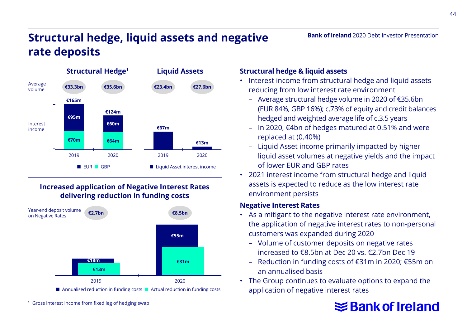# **Structural hedge, liquid assets and negative rate deposits**



#### **Increased application of Negative Interest Rates delivering reduction in funding costs**



■ Annualised reduction in funding costs ■ Actual reduction in funding costs

<sup>1</sup> Gross interest income from fixed leg of hedging swap

#### **Structural hedge & liquid assets**

- Interest income from structural hedge and liquid assets reducing from low interest rate environment
	- Average structural hedge volume in 2020 of €35.6bn (EUR 84%, GBP 16%); c.73% of equity and credit balances hedged and weighted average life of c.3.5 years

**Bank of Ireland** 2020 Debt Investor Presentation

- In 2020, €4bn of hedges matured at 0.51% and were replaced at (0.40%)
- Liquid Asset income primarily impacted by higher liquid asset volumes at negative yields and the impact of lower EUR and GBP rates
- 2021 interest income from structural hedge and liquid assets is expected to reduce as the low interest rate environment persists

#### **Negative Interest Rates**

- As a mitigant to the negative interest rate environment, the application of negative interest rates to non-personal customers was expanded during 2020
	- Volume of customer deposits on negative rates increased to €8.5bn at Dec 20 vs. €2.7bn Dec 19
	- Reduction in funding costs of €31m in 2020; €55m on an annualised basis
- The Group continues to evaluate options to expand the application of negative interest rates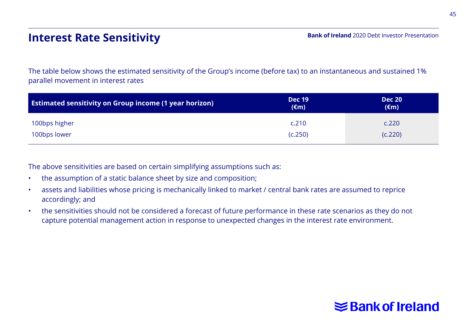# **Interest Rate Sensitivity**

The table below shows the estimated sensitivity of the Group's income (before tax) to an instantaneous and sustained 1% parallel movement in interest rates

| <b>Estimated sensitivity on Group income (1 year horizon)</b> | <b>Dec 19</b><br>$(\epsilon m)$ | <b>Dec 20</b><br>$(\epsilon m)$ |
|---------------------------------------------------------------|---------------------------------|---------------------------------|
| 100bps higher                                                 | c.210                           | c.220                           |
| 100bps lower                                                  | (C.250)                         | (C.220)                         |

The above sensitivities are based on certain simplifying assumptions such as:

- the assumption of a static balance sheet by size and composition;
- assets and liabilities whose pricing is mechanically linked to market / central bank rates are assumed to reprice accordingly; and
- the sensitivities should not be considered a forecast of future performance in these rate scenarios as they do not capture potential management action in response to unexpected changes in the interest rate environment.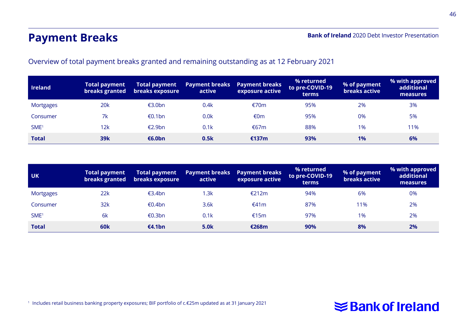# **Payment Breaks**

**Bank of Ireland** 2020 Debt Investor Presentation

Overview of total payment breaks granted and remaining outstanding as at 12 February 2021

| <b>Ireland</b>   | <b>Total payment</b><br>breaks granted | <b>Total payment</b><br>breaks exposure | <b>Payment breaks</b><br>active | <b>Payment breaks</b><br>exposure active | % returned<br>to pre-COVID-19<br><b>terms</b> | % of payment<br>breaks active | % with approved<br>additional<br>measures |
|------------------|----------------------------------------|-----------------------------------------|---------------------------------|------------------------------------------|-----------------------------------------------|-------------------------------|-------------------------------------------|
| Mortgages        | <b>20k</b>                             | €3.0bn                                  | 0.4k                            | €70 $m$                                  | 95%                                           | 2%                            | 3%                                        |
| Consumer         | 7k                                     | €0.1bn                                  | 0.0 <sub>k</sub>                | €0m                                      | 95%                                           | 0%                            | 5%                                        |
| SME <sup>1</sup> | 12k                                    | €2.9bn                                  | 0.1k                            | €67m                                     | 88%                                           | 1%                            | 11%                                       |
| <b>Total</b>     | 39k                                    | €6.0bn                                  | 0.5k                            | €137m                                    | 93%                                           | 1%                            | 6%                                        |

| <b>UK</b>        | <b>Total payment</b><br>breaks granted | <b>Total payment</b><br>breaks exposure | <b>Payment breaks</b><br>active | <b>Payment breaks</b><br>exposure active | % returned<br>to pre-COVID-19<br>terms | % of payment<br>breaks active | % with approved<br>additional<br>measures |
|------------------|----------------------------------------|-----------------------------------------|---------------------------------|------------------------------------------|----------------------------------------|-------------------------------|-------------------------------------------|
| <b>Mortgages</b> | 22k                                    | €3.4bn                                  | 1.3k                            | €212m                                    | 94%                                    | 6%                            | 0%                                        |
| Consumer         | 32k                                    | €0.4bn                                  | 3.6k                            | €41m                                     | 87%                                    | 11%                           | 2%                                        |
| SME <sup>1</sup> | 6k                                     | €0.3bn                                  | 0.1k                            | €15m                                     | 97%                                    | 1%                            | 2%                                        |
| <b>Total</b>     | 60 <sub>k</sub>                        | €4.1bn                                  | 5.0 <sub>k</sub>                | €268m                                    | 90%                                    | 8%                            | 2%                                        |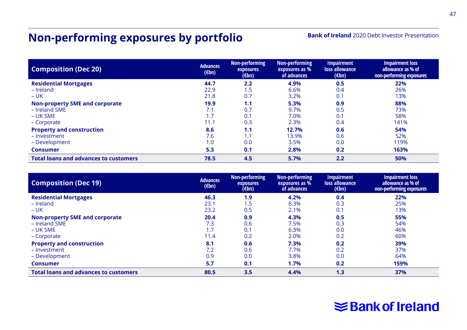# **Non-performing exposures by portfolio**

**Bank of Ireland** 2020 Debt Investor Presentation

| <b>Composition (Dec 20)</b>                  | <b>Advances</b><br>$(\epsilon$ bn) | Non-performing<br>exposures<br>$(\epsilon$ bn) | Non-performing<br>exposures as %<br>of advances | <b>Impairment</b><br>loss allowance<br>$(\epsilon$ bn) | <b>Impairment loss</b><br>allowance as % of<br>non-performing exposures |
|----------------------------------------------|------------------------------------|------------------------------------------------|-------------------------------------------------|--------------------------------------------------------|-------------------------------------------------------------------------|
| <b>Residential Mortgages</b>                 | 44.7                               | 2.2                                            | 4.9%                                            | 0.5                                                    | 22%                                                                     |
| - Ireland                                    | 22.9                               | 1.5                                            | 6.6%                                            | 0.4                                                    | 26%                                                                     |
| $- UK$                                       | 21.8                               | 0.7                                            | 3.2%                                            | 0.1                                                    | 13%                                                                     |
| <b>Non-property SME and corporate</b>        | 19.9                               | 1.1                                            | 5.3%                                            | 0.9                                                    | 88%                                                                     |
| - Ireland SME                                | 7.1                                | 0.7                                            | 9.7%                                            | 0.5                                                    | 73%                                                                     |
| – UK SME                                     | 1.7                                | 0.1                                            | 7.0%                                            | 0.1                                                    | 58%                                                                     |
| - Corporate                                  | 11.1                               | 0.3                                            | 2.3%                                            | 0.4                                                    | 141%                                                                    |
| <b>Property and construction</b>             | 8.6                                | 1.1                                            | 12.7%                                           | 0.6                                                    | 54%                                                                     |
| - Investment                                 | 7.6                                | 1.1                                            | 13.9%                                           | 0.6                                                    | 52%                                                                     |
| - Development                                | 1.0                                | 0.0                                            | 3.5%                                            | 0.0                                                    | 119%                                                                    |
| <b>Consumer</b>                              | 5.3                                | 0.1                                            | 2.8%                                            | 0.2                                                    | 163%                                                                    |
| <b>Total loans and advances to customers</b> | 78.5                               | 4.5                                            | 5.7%                                            | 2.2                                                    | 50%                                                                     |

| <b>Composition (Dec 19)</b>                  | <b>Advances</b><br>$(\epsilon$ bn) | Non-performing<br>exposures<br>$(\epsilon$ bn) | Non-performing<br>exposures as %<br>of advances | <b>Impairment</b><br>loss allowance<br>$(\epsilon$ bn) | <b>Impairment loss</b><br>allowance as % of<br>non-performing exposures |
|----------------------------------------------|------------------------------------|------------------------------------------------|-------------------------------------------------|--------------------------------------------------------|-------------------------------------------------------------------------|
| <b>Residential Mortgages</b>                 | 46.3                               | 1.9                                            | 4.2%                                            | 0.4                                                    | 22%                                                                     |
| $-$ Ireland                                  | 23.1                               | 1.5                                            | 6.3%                                            | 0.3                                                    | 25%                                                                     |
| $- UK$                                       | 23.2                               | 0.5                                            | 2.1%                                            | 0.1                                                    | 13%                                                                     |
| <b>Non-property SME and corporate</b>        | 20.4                               | 0.9                                            | 4.3%                                            | 0.5                                                    | 55%                                                                     |
| - Ireland SME                                | 7.3                                | 0.6                                            | 7.5%                                            | 0.3                                                    | 54%                                                                     |
| $- UK SME$                                   | 1.7                                | 0.1                                            | 6.3%                                            | 0.0                                                    | 46%                                                                     |
| - Corporate                                  | 11.4                               | 0.2                                            | 2.0%                                            | 0.2                                                    | 60%                                                                     |
| <b>Property and construction</b>             | 8.1                                | 0.6                                            | 7.3%                                            | 0.2                                                    | 39%                                                                     |
| - Investment                                 | 7.2                                | 0.6                                            | 7.7%                                            | 0.2                                                    | 37%                                                                     |
| - Development                                | 0.9                                | 0.0                                            | 3.8%                                            | 0.0                                                    | 64%                                                                     |
| <b>Consumer</b>                              | 5.7                                | 0.1                                            | 1.7%                                            | 0.2                                                    | 159%                                                                    |
| <b>Total loans and advances to customers</b> | 80.5                               | 3.5                                            | 4.4%                                            | 1.3                                                    | 37%                                                                     |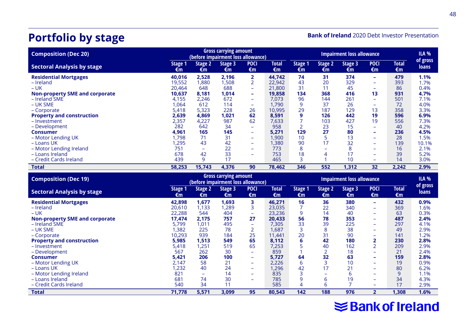# **Portfolio by stage**

**Bank of Ireland** 2020 Debt Investor Presentation

| <b>Gross carrying amount</b><br><b>Composition (Dec 20)</b><br>(before impairment loss allowance) |               |               |               | <b>Impairment loss allowance</b> |                    |               |               |               |                   | <b>ILA %</b>       |                   |
|---------------------------------------------------------------------------------------------------|---------------|---------------|---------------|----------------------------------|--------------------|---------------|---------------|---------------|-------------------|--------------------|-------------------|
| <b>Sectoral Analysis by stage</b>                                                                 | Stage 1<br>€m | Stage 2<br>€m | Stage 3<br>€m | <b>POCI</b><br>€m                | <b>Total</b><br>€m | Stage 1<br>€m | Stage 2<br>€m | Stage 3<br>€m | <b>POCI</b><br>€m | <b>Total</b><br>€m | of gross<br>loans |
| <b>Residential Mortgages</b>                                                                      | 40,016        | 2.528         | 2,196         | 2                                | 44,742             | 74            | 31            | 374           | ۰                 | 479                | 1.1%              |
| - Ireland                                                                                         | 19,552        | 1,880         | 1,508         |                                  | 22,942             | 43            | 20            | 329           | ۰                 | 393                | 1.7%              |
| $-UK$                                                                                             | 20.464        | 648           | 688           | ۰.                               | 21.800             | 31            | 11            | 45            | ۰                 | 86                 | 0.4%              |
| <b>Non-property SME and corporate</b>                                                             | 10,637        | 8,181         | 1,014         | -                                | 19,858             | 134           | 368           | 416           | 13                | 931                | 4.7%              |
| - Ireland SME                                                                                     | 4,155         | 2,246         | 672           | ÷                                | 7.073              | 96            | 144           | 261           | ۳                 | 501                | 7.1%              |
| $- UK SME$                                                                                        | .064          | 612           | 114           | ÷                                | 1.790              | 9             | 37            | 26            | ۰                 | 72                 | 4.0%              |
| - Corporate                                                                                       | 5,418         | 5,323         | 228           | 26                               | 10,995             | 29            | 187           | 129           | 13                | 358                | 3.3%              |
| <b>Property and construction</b>                                                                  | 2,639         | 4,869         | 1,021         | 62                               | 8,591              | 9             | 126           | 442           | 19                | 596                | 6.9%              |
| - Investment                                                                                      | 2,357         | 4,227         | 987           | 62                               | 7,633              | ÷             | 103           | 427           | 19                | 556                | 7.3%              |
| – Development                                                                                     | 282           | 642           | 34            | ÷                                | 958                | 2             | 23            | 15            | ۰                 | 40                 | 4.2%              |
| <b>Consumer</b>                                                                                   | 4,961         | 165           | 145           | -                                | 5.271              | 129           | 27            | 80            | ۰                 | 236                | 4.5%              |
| - Motor Lending UK                                                                                | .798          | 71            | 31            | ÷                                | 1,900              | 10            | 5             | 13            | ۰                 | 28                 | 1.5%              |
| - Loans UK                                                                                        | ,295          | 43            | 42            | -                                | 1,380              | 90            | 17            | 32            | ۰                 | 139                | 10.1%             |
| - Motor Lending Ireland                                                                           | 751           |               | 22            | -                                | 773                | 8             |               | 8             | -                 | 16                 | 2.1%              |
| - Loans Ireland                                                                                   | 678           | 42            | 33            | -                                | 753                | 18            | 4             | 17            | ۰                 | 39                 | 5.2%              |
| - Credit Cards Ireland                                                                            | 439           | 9             | 17            |                                  | 465                | 3             |               | 10            | ۰                 | 14                 | 3.0%              |
| <b>Total</b>                                                                                      | 58,253        | 15,743        | 4,376         | 90                               | 78,462             | 346           | 552           | 1,312         | 32                | 2,242              | 2.9%              |

| <b>Composition (Dec 19)</b>           | <b>Gross carrying amount</b><br>(before impairment loss allowance) |               |               | <b>Impairment loss allowance</b> |                    |               |               |               | ILA %             |                    |                          |
|---------------------------------------|--------------------------------------------------------------------|---------------|---------------|----------------------------------|--------------------|---------------|---------------|---------------|-------------------|--------------------|--------------------------|
| <b>Sectoral Analysis by stage</b>     | Stage 1<br>€m                                                      | Stage 2<br>€m | Stage 3<br>€m | <b>POCI</b><br>€m                | <b>Total</b><br>€m | Stage 1<br>€m | Stage 2<br>€m | Stage 3<br>€m | <b>POCI</b><br>€m | <b>Total</b><br>€m | of gross<br><b>loans</b> |
| <b>Residential Mortgages</b>          | 42.898                                                             | 1.677         | 1.693         | 3.                               | 46.271             | 16            | 36            | 380           | ٠                 | 432                | 0.9%                     |
| - Ireland                             | 20,610                                                             | 1,133         | ,289          |                                  | 23,035             |               | 22            | 340           | ۰                 | 369                | 1.6%                     |
| $-$ UK                                | 22.288                                                             | 544           | 404           | -                                | 23,236             | 9             | 14            | 40            | ۰                 | 63                 | 0.3%                     |
| <b>Non-property SME and corporate</b> | 17,474                                                             | 2.175         | 757           | 27                               | 20,433             | 56            | 78            | 353           | ۰                 | 487                | 2.4%                     |
| - Ireland SME                         | 5,799                                                              | 1,011         | 495           | ۰                                | 7,305              | 33            | 39            | 225           | ۰                 | 297                | 4.1%                     |
| $- UK SME$                            | ,382                                                               | 225           | 78            |                                  | 1,687              | 3             | 8             | 38            | ۰                 | 49                 | 2.9%                     |
| - Corporate                           | 10,293                                                             | 939           | 184           | 25                               | 11.441             | 20            | 31            | 90            | -                 | 141                | 1.2%                     |
| <b>Property and construction</b>      | 5,985                                                              | 1,513         | 549           | 65                               | 8,112              | 6             | 42            | 180           | 2                 | 230                | 2.8%                     |
| - Investment                          | 5,418                                                              | 1,251         | 519           | 65                               | 7,253              |               | 40            | 162           | $\overline{2}$    | 209                | 2.9%                     |
| - Development                         | 567                                                                | 262           | 30            | ۰                                | 859                |               |               | 18            | ۰                 | 21                 | 2.4%                     |
| <b>Consumer</b>                       | 5,421                                                              | 206           | 100           | ۰                                | 5,727              | 64            | 32            | 63            | ٠                 | 159                | 2.8%                     |
| - Motor Lending UK                    | 2.147                                                              | 58            | 21            | $\overline{\phantom{a}}$         | 2,226              | 6             |               | 10            | ۰                 | 19                 | 0.9%                     |
| - Loans UK                            | ,232                                                               | 40            | 24            | ۰                                | 1,296              | 42            | 17            | 21            | ۰                 | 80                 | 6.2%                     |
| - Motor Lending Ireland               | 821                                                                |               | 14            | ۰                                | 835                |               |               | 6             | -                 | 9                  | 1.1%                     |
| - Loans Ireland                       | 681                                                                | 74            | 30            |                                  | 785                | 9             | 6             | 19            | -                 | 34                 | 4.3%                     |
| - Credit Cards Ireland                | 540                                                                | 34            | 11            |                                  | 585                | 4             | 6             |               | ۰                 | 17                 | 2.9%                     |
| <b>Total</b>                          | 71,778                                                             | 5,571         | 3,099         | 95                               | 80,543             | 142           | 188           | 976           | $\overline{2}$    | 1,308              | 1.6%                     |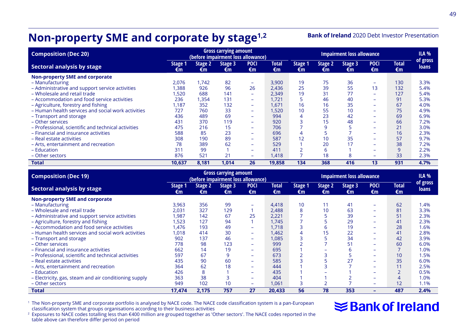# **Non-property SME and corporate by stage1,2**

**Bank of Ireland** 2020 Debt Investor Presentation

| <b>Composition (Dec 20)</b>                         |               |               | <b>Gross carrying amount</b><br>(before impairment loss allowance) |                   |                    |               |                      | <b>Impairment loss allowance</b> |                          |                    | <b>ILA %</b>      |
|-----------------------------------------------------|---------------|---------------|--------------------------------------------------------------------|-------------------|--------------------|---------------|----------------------|----------------------------------|--------------------------|--------------------|-------------------|
| Sectoral analysis by stage                          | Stage 1<br>€m | Stage 2<br>€m | Stage 3<br>€m                                                      | <b>POCI</b><br>€m | <b>Total</b><br>€m | Stage 1<br>€m | <b>Stage 2</b><br>€m | Stage 3<br>€m                    | <b>POCI</b><br>€m        | <b>Total</b><br>€m | of gross<br>loans |
| Non-property SME and corporate                      |               |               |                                                                    |                   |                    |               |                      |                                  |                          |                    |                   |
| - Manufacturing                                     | 2.076         | 1.742         | 82                                                                 | ÷                 | 3.900              | 19            | 75                   | 36                               | ۰                        | 130                | 3.3%              |
| - Administrative and support service activities     | 1.388         | 926           | 96                                                                 | 26                | 2.436              | 25            | 39                   | 55                               | 13                       | 132                | 5.4%              |
| - Wholesale and retail trade                        | .520          | 688           | 141                                                                | ÷                 | 2.349              | 19            | 31                   | 77                               | ۰                        | 127                | 5.4%              |
| - Accommodation and food service activities         | 236           | 1,354         | 131                                                                | ÷                 | 1.721              | 5             | 46                   | 40                               | ۰                        | 91                 | 5.3%              |
| - Agriculture, forestry and fishing                 | 1.187         | 352           | 132                                                                | ÷                 | .671               | 16            | 16                   | 35                               | $\overline{\phantom{0}}$ | 67                 | 4.0%              |
| - Human health services and social work activities  | 727           | 760           | 33                                                                 | ÷                 | .520               | 10            | 55                   | 10                               | ۰                        | 75                 | 4.9%              |
| - Transport and storage                             | 436           | 489           | 69                                                                 | ÷                 | 994                | 4             | 23                   | 42                               | ۰                        | 69                 | 6.9%              |
| - Other services                                    | 431           | 370           | 119                                                                | -                 | 920                | 3             | 15                   | 48                               | ۰                        | 66                 | 7.2%              |
| - Professional, scientific and technical activities | 475           | 216           | 15                                                                 | ÷                 | 706                |               | 9                    |                                  | ۰                        | 21                 | 3.0%              |
| - Financial and insurance activities                | 588           | 85            | 23                                                                 | ÷                 | 696                | 4             | 5                    |                                  | $\overline{\phantom{0}}$ | 16                 | 2.3%              |
| - Real estate activities                            | 308           | 190           | 89                                                                 | ÷                 | 587                | 12            | 10                   | 35                               | ۰                        | 57                 | 9.7%              |
| – Arts, entertainment and recreation                | 78            | 389           | 62                                                                 | ÷                 | 529                |               | 20                   | 17                               | $\equiv$                 | 38                 | 7.2%              |
| - Education                                         | 311           | 99            |                                                                    | ÷                 | 411                |               | 6                    |                                  | ۰                        | 9                  | 2.2%              |
| - Other sectors                                     | 876           | 521           | 21                                                                 | ÷                 | 1.418              | ⇁             | 18                   | 8                                | ۰                        | 33                 | 2.3%              |
| <b>Total</b>                                        | 10,637        | 8,181         | 1,014                                                              | 26                | 19,858             | 134           | 368                  | 416                              | 13                       | 931                | 4.7%              |

| <b>Composition (Dec 19)</b>                           |               |               | <b>Gross carrying amount</b><br>(before impairment loss allowance) |                          |                    |                      |               | <b>Impairment loss allowance</b> |                          |                    | ILA %                    |
|-------------------------------------------------------|---------------|---------------|--------------------------------------------------------------------|--------------------------|--------------------|----------------------|---------------|----------------------------------|--------------------------|--------------------|--------------------------|
| Sectoral analysis by stage                            | Stage 1<br>€m | Stage 2<br>€m | Stage 3<br>€m                                                      | <b>POCI</b><br>€m        | <b>Total</b><br>€m | <b>Stage 1</b><br>€m | Stage 2<br>€m | Stage 3<br>€m                    | <b>POCI</b><br>€m        | <b>Total</b><br>€m | of gross<br><b>loans</b> |
| <b>Non-property SME and corporate</b>                 |               |               |                                                                    |                          |                    |                      |               |                                  |                          |                    |                          |
| - Manufacturing                                       | 3,963         | 356           | 99                                                                 | $\overline{\phantom{a}}$ | 4,418              | 10                   | 11            | 41                               | ۰                        | 62                 | 1.4%                     |
| - Wholesale and retail trade                          | 2.031         | 327           | 129                                                                |                          | 2.488              | 8                    | 10            | 63                               | ÷                        | 81                 | 3.3%                     |
| - Administrative and support service activities       | 1,987         | 142           | 67                                                                 | 25                       | 2,221              |                      |               | 39                               | $\overline{\phantom{0}}$ | 51                 | 2.3%                     |
| - Agriculture, forestry and fishing                   | .523          | 127           | 94                                                                 |                          | 1.745              |                      |               | 29                               | ۰                        | 41                 | 2.3%                     |
| - Accommodation and food service activities           | .476          | 193           | 49                                                                 | -                        | 1.718              | 3                    | 6             | 19                               | ۰                        | 28                 | 1.6%                     |
| - Human health services and social work activities    | 1,018         | 414           | 30                                                                 | $\overline{\phantom{a}}$ | 1.462              | 4                    | 15            | 22                               | ۰                        | 41                 | 2.8%                     |
| - Transport and storage                               | 902           | 137           | 46                                                                 | ۰                        | 1,085              | 3                    |               | 34                               | $\overline{\phantom{0}}$ | 42                 | 3.9%                     |
| - Other services                                      | 778           | 98            | 123                                                                | ۰                        | 999                | $\overline{2}$       |               | 51                               | ۰                        | 60                 | 6.0%                     |
| - Financial and insurance activities                  | 662           | 14            | 19                                                                 | ۰                        | 695                |                      |               | ь                                | ۰                        |                    | 1.0%                     |
| - Professional, scientific and technical activities   | 597           | 67            | 9                                                                  | ۰                        | 673                |                      |               | 5                                | ۰                        | 10                 | 1.5%                     |
| - Real estate activities                              | 435           | 90            | 60                                                                 | $\overline{\phantom{a}}$ | 585                |                      |               | 27                               | ۰                        | 35                 | 6.0%                     |
| - Arts, entertainment and recreation                  | 364           | 62            | 18                                                                 | ۰                        | 444                |                      |               |                                  | $\overline{\phantom{0}}$ | 11                 | 2.5%                     |
| - Education                                           | 426           | 8             |                                                                    | ۰                        | 435                |                      |               |                                  | $\overline{\phantom{0}}$ | $\overline{2}$     | 0.5%                     |
| - Electricity, gas, steam and air conditioning supply | 363           | 38            | 3                                                                  | ۰                        | 404                |                      |               |                                  | ۰                        | 4                  | 1.0%                     |
| - Other sectors                                       | 949           | 102           | 10                                                                 | $\overline{\phantom{a}}$ | 1,061              | 3                    | 2             |                                  | $\overline{\phantom{0}}$ | 12                 | 1.1%                     |
| <b>Total</b>                                          | 17,474        | 2,175         | 757                                                                | 27                       | 20,433             | 56                   | 78            | 353                              | -                        | 487                | 2.4%                     |

'The Non-property SME and corporate portfolio is analysed by NACE code. The NACE code classification system is a pan-European<br>classification system that groups organisations according to their business activities

# **≋Bank of Ireland**

<sup>2</sup> Exposures to NACE codes totalling less than €400 million are grouped together as 'Other sectors'. The NACE codes reported in the table above can therefore differ period on period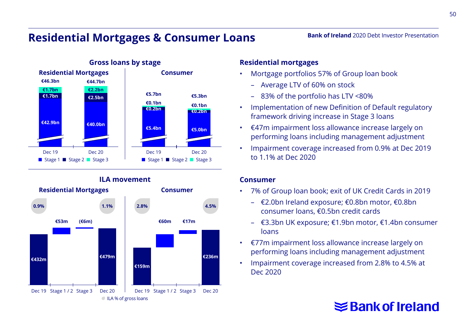## **Residential Mortgages & Consumer Loans**



#### **ILA movement**



#### **Residential mortgages**

- Mortgage portfolios 57% of Group loan book
	- Average LTV of 60% on stock
	- 83% of the portfolio has LTV <80%
- Implementation of new Definition of Default regulatory framework driving increase in Stage 3 loans

**Bank of Ireland** 2020 Debt Investor Presentation

- €47m impairment loss allowance increase largely on performing loans including management adjustment
- Impairment coverage increased from 0.9% at Dec 2019 to 1.1% at Dec 2020

#### **Consumer**

- 7% of Group loan book; exit of UK Credit Cards in 2019
	- €2.0bn Ireland exposure; €0.8bn motor, €0.8bn consumer loans, €0.5bn credit cards
	- €3.3bn UK exposure; €1.9bn motor, €1.4bn consumer loans
- €77m impairment loss allowance increase largely on performing loans including management adjustment
- Impairment coverage increased from 2.8% to 4.5% at Dec 2020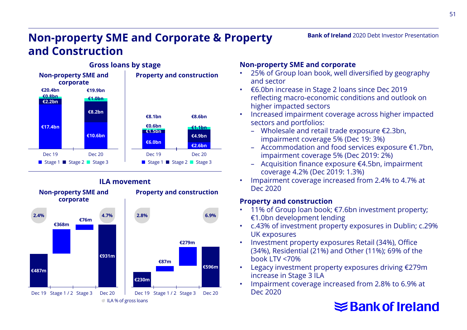# **Non-property SME and Corporate & Property and Construction**



# **ILA movement**



#### **Non-property SME and corporate**

- 25% of Group loan book, well diversified by geography and sector
- €6.0bn increase in Stage 2 loans since Dec 2019 reflecting macro-economic conditions and outlook on higher impacted sectors
- Increased impairment coverage across higher impacted sectors and portfolios:
	- Wholesale and retail trade exposure €2.3bn, impairment coverage 5% (Dec 19: 3%)
	- Accommodation and food services exposure €1.7bn, impairment coverage 5% (Dec 2019: 2%)
	- Acquisition finance exposure €4.5bn, impairment coverage 4.2% (Dec 2019: 1.3%)
- Impairment coverage increased from 2.4% to 4.7% at Dec 2020

#### **Property and construction**

- 11% of Group loan book; €7.6bn investment property; €1.0bn development lending
- c.43% of investment property exposures in Dublin; c.29% UK exposures
- Investment property exposures Retail (34%), Office (34%), Residential (21%) and Other (11%); 69% of the book LTV <70%
- Legacy investment property exposures driving €279m increase in Stage 3 ILA
- Impairment coverage increased from 2.8% to 6.9% at Dec 2020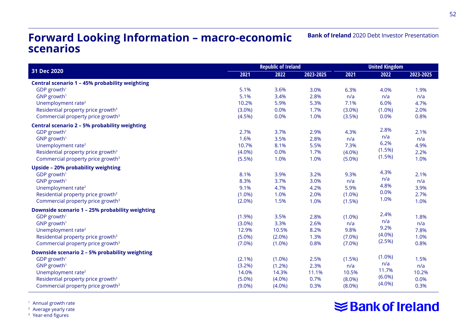#### **Forward Looking Information – macro-economic scenarios**

|                                                             | <b>Republic of Ireland</b> |           |           |        | <b>United Kingdom</b> |  |  |
|-------------------------------------------------------------|----------------------------|-----------|-----------|--------|-----------------------|--|--|
| 31 Dec 2020<br>2021                                         | 2022                       | 2023-2025 | 2021      | 2022   | 2023-2025             |  |  |
| Central scenario 1 - 45% probability weighting              |                            |           |           |        |                       |  |  |
| 5.1%<br>$GDP$ growth <sup>1</sup>                           | 3.6%                       | 3.0%      | 6.3%      | 4.0%   | 1.9%                  |  |  |
| 5.1%<br>$GNP$ growth <sup>1</sup>                           | 3.4%                       | 2.8%      | n/a       | n/a    | n/a                   |  |  |
| Unemployment rate <sup>2</sup><br>10.2%                     | 5.9%                       | 5.3%      | 7.1%      | 6.0%   | 4.7%                  |  |  |
| Residential property price growth <sup>3</sup><br>$(3.0\%)$ | 0.0%                       | 1.7%      | $(3.0\%)$ | (1.0%  | 2.0%                  |  |  |
| Commercial property price growth <sup>3</sup><br>(4.5%)     | 0.0%                       | 1.0%      | (3.5%)    | 0.0%   | 0.8%                  |  |  |
| Central scenario 2 - 5% probability weighting               |                            |           |           |        |                       |  |  |
| 2.7%<br>GDP growth <sup>1</sup>                             | 3.7%                       | 2.9%      | 4.3%      | 2.8%   | 2.1%                  |  |  |
| 1.6%<br>GNP growth <sup>1</sup>                             | 3.5%                       | 2.8%      | n/a       | n/a    | n/a                   |  |  |
| Unemployment rate <sup>2</sup><br>10.7%                     | 8.1%                       | 5.5%      | 7.3%      | 6.2%   | 4.9%                  |  |  |
| Residential property price growth <sup>3</sup><br>(4.0%)    | 0.0%                       | 1.7%      | $(4.0\%)$ | (1.5%) | 2.2%                  |  |  |
| Commercial property price growth <sup>3</sup><br>(5.5%)     | 1.0%                       | 1.0%      | (5.0%)    | (1.5%) | 1.0%                  |  |  |
| Upside - 20% probability weighting                          |                            |           |           |        |                       |  |  |
| GDP growth <sup>1</sup><br>8.1%                             | 3.9%                       | 3.2%      | 9.3%      | 4.3%   | 2.1%                  |  |  |
| $GNP$ growth <sup>1</sup><br>8.3%                           | 3.7%                       | 3.0%      | n/a       | n/a    | n/a                   |  |  |
| Unemployment rate <sup>2</sup><br>9.1%                      | 4.7%                       | 4.2%      | 5.9%      | 4.8%   | 3.9%                  |  |  |
| Residential property price growth <sup>3</sup><br>(1.0%)    | 1.0%                       | 2.0%      | $(1.0\%)$ | 0.0%   | 2.7%                  |  |  |
| Commercial property price growth <sup>3</sup><br>(2.0%)     | 1.5%                       | 1.0%      | (1.5%)    | 1.0%   | 1.0%                  |  |  |
| Downside scenario 1 - 25% probability weighting             |                            |           |           |        |                       |  |  |
| GDP growth <sup>1</sup><br>(1.9%)                           | 3.5%                       | 2.8%      | $(1.0\%)$ | 2.4%   | 1.8%                  |  |  |
| GNP growth <sup>1</sup><br>(3.0%)                           | 3.3%                       | 2.6%      | n/a       | n/a    | n/a                   |  |  |
| 12.9%<br>Unemployment rate <sup>2</sup>                     | 10.5%                      | 8.2%      | 9.8%      | 9.2%   | 7.8%                  |  |  |
| Residential property price growth <sup>3</sup><br>(5.0%)    | (2.0%)                     | 1.3%      | (7.0%)    | (4.0%) | 1.0%                  |  |  |
| Commercial property price growth <sup>3</sup><br>(7.0%)     | (1.0%)                     | 0.8%      | (7.0%)    | (2.5%) | 0.8%                  |  |  |
| Downside scenario 2 - 5% probability weighting              |                            |           |           |        |                       |  |  |
| GDP growth <sup>1</sup><br>$(2.1\%)$                        | (1.0%)                     | 2.5%      | (1.5%)    | (1.0%) | 1.5%                  |  |  |
| GNP growth <sup>1</sup><br>(3.2%)                           | (1.2%)                     | 2.3%      | n/a       | n/a    | n/a                   |  |  |
| Unemployment rate <sup>2</sup><br>14.0%                     | 14.3%                      | 11.1%     | 10.5%     | 11.7%  | 10.2%                 |  |  |
| Residential property price growth <sup>3</sup><br>(5.0%)    | (4.0%)                     | 0.7%      | $(8.0\%)$ | (6.0%) | 0.0%                  |  |  |
| Commercial property price growth <sup>3</sup><br>$(9.0\%)$  | (4.0%)                     | 0.3%      | $(8.0\%)$ | (4.0%) | 0.3%                  |  |  |

<sup>1</sup> Annual growth rate

<sup>2</sup> Average yearly rate

<sup>3</sup> Year-end figures

# **Sank of Ireland**

**Bank of Ireland** 2020 Debt Investor Presentation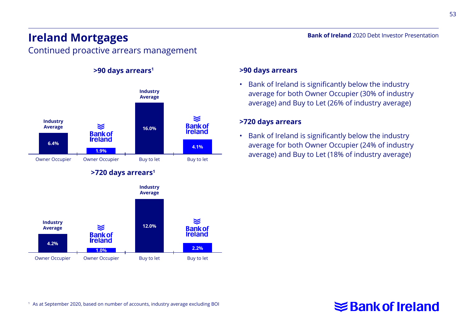# **Ireland Mortgages**

Continued proactive arrears management



#### **>90 days arrears**

• Bank of Ireland is significantly below the industry average for both Owner Occupier (30% of industry average) and Buy to Let (26% of industry average)

**Bank of Ireland** 2020 Debt Investor Presentation

#### **>720 days arrears**

• Bank of Ireland is significantly below the industry average for both Owner Occupier (24% of industry average) and Buy to Let (18% of industry average)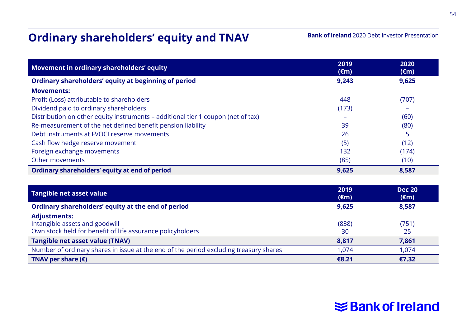# **Ordinary shareholders' equity and TNAV**

#### **Bank of Ireland** 2020 Debt Investor Presentation

| Movement in ordinary shareholders' equity                                        | 2019<br>$(\epsilon m)$ | 2020<br>$(\epsilon m)$ |
|----------------------------------------------------------------------------------|------------------------|------------------------|
| Ordinary shareholders' equity at beginning of period                             | 9,243                  | 9,625                  |
| <b>Movements:</b>                                                                |                        |                        |
| Profit (Loss) attributable to shareholders                                       | 448                    | (707)                  |
| Dividend paid to ordinary shareholders                                           | (173)                  |                        |
| Distribution on other equity instruments - additional tier 1 coupon (net of tax) |                        | (60)                   |
| Re-measurement of the net defined benefit pension liability                      | 39                     | (80)                   |
| Debt instruments at FVOCI reserve movements                                      | 26                     | 5                      |
| Cash flow hedge reserve movement                                                 | (5)                    | (12)                   |
| Foreign exchange movements                                                       | 132                    | (174)                  |
| Other movements                                                                  | (85)                   | (10)                   |
| Ordinary shareholders' equity at end of period                                   | 9,625                  | 8,587                  |

| Tangible net asset value                                                                                            | 2019<br>$(\epsilon m)$ | <b>Dec 20</b><br>$(\epsilon m)$ |
|---------------------------------------------------------------------------------------------------------------------|------------------------|---------------------------------|
| Ordinary shareholders' equity at the end of period                                                                  | 9.625                  | 8,587                           |
| <b>Adjustments:</b><br>Intangible assets and goodwill<br>Own stock held for benefit of life assurance policyholders | (838)<br>30            | (751)<br>25                     |
| Tangible net asset value (TNAV)                                                                                     | 8,817                  | 7,861                           |
| Number of ordinary shares in issue at the end of the period excluding treasury shares                               | 1.074                  | 1.074                           |
| TNAV per share $(\epsilon)$                                                                                         | €8.21                  | €7.32                           |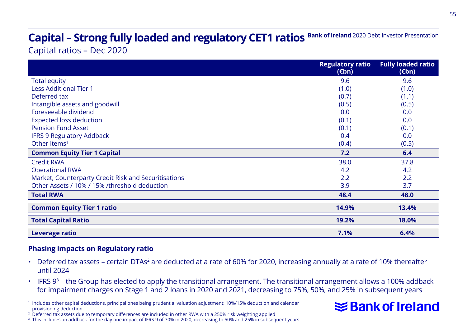# Capital – Strong fully loaded and regulatory CET1 ratios Bank of Ireland 2020 Debt Investor Presentation

Capital ratios – Dec 2020

|                                                      | <b>Regulatory ratio</b><br>$(\epsilon$ bn) | <b>Fully loaded ratio</b><br>$(\epsilon$ bn) |
|------------------------------------------------------|--------------------------------------------|----------------------------------------------|
| <b>Total equity</b>                                  | 9.6                                        | 9.6                                          |
| <b>Less Additional Tier 1</b>                        | (1.0)                                      | (1.0)                                        |
| Deferred tax                                         | (0.7)                                      | (1.1)                                        |
| Intangible assets and goodwill                       | (0.5)                                      | (0.5)                                        |
| Foreseeable dividend                                 | 0.0                                        | 0.0                                          |
| <b>Expected loss deduction</b>                       | (0.1)                                      | 0.0                                          |
| <b>Pension Fund Asset</b>                            | (0.1)                                      | (0.1)                                        |
| <b>IFRS 9 Regulatory Addback</b>                     | 0.4                                        | 0.0                                          |
| Other items <sup>1</sup>                             | (0.4)                                      | (0.5)                                        |
| <b>Common Equity Tier 1 Capital</b>                  | 7.2                                        | 6.4                                          |
| <b>Credit RWA</b>                                    | 38.0                                       | 37.8                                         |
| <b>Operational RWA</b>                               | 4.2                                        | 4.2                                          |
| Market, Counterparty Credit Risk and Securitisations | 2.2                                        | 2.2                                          |
| Other Assets / 10% / 15% /threshold deduction        | 3.9                                        | 3.7                                          |
| <b>Total RWA</b>                                     | 48.4                                       | 48.0                                         |
| <b>Common Equity Tier 1 ratio</b>                    | 14.9%                                      | 13.4%                                        |
| <b>Total Capital Ratio</b>                           | 19.2%                                      | 18.0%                                        |
| Leverage ratio                                       | 7.1%                                       | 6.4%                                         |

#### **Phasing impacts on Regulatory ratio**

- Deferred tax assets certain DTAs<sup>2</sup> are deducted at a rate of 60% for 2020, increasing annually at a rate of 10% thereafter until 2024
- IFRS  $9^3$  the Group has elected to apply the transitional arrangement. The transitional arrangement allows a 100% addback for impairment charges on Stage 1 and 2 loans in 2020 and 2021, decreasing to 75%, 50%, and 25% in subsequent years

<sup>1</sup> Includes other capital deductions, principal ones being prudential valuation adjustment; 10%/15% deduction and calendar provisioning deduction



<sup>2</sup> Deferred tax assets due to temporary differences are included in other RWA with a 250% risk weighting applied

<sup>3</sup> This includes an addback for the day one impact of IFRS 9 of 70% in 2020, decreasing to 50% and 25% in subsequent years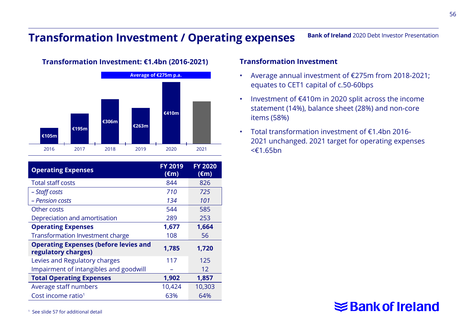## **Transformation Investment / Operating expenses**

**Average of €275m p.a. €306m €263m €410m €195m €105m** 2016 2017 2018 2019 2020 2021

**Transformation Investment: €1.4bn (2016-2021)**

| <b>Operating Expenses</b>                                           | <b>FY 2019</b><br>$(\epsilon m)$ | <b>FY 2020</b><br>$(\epsilon m)$ |
|---------------------------------------------------------------------|----------------------------------|----------------------------------|
| <b>Total staff costs</b>                                            | 844                              | 826                              |
| - Staff costs                                                       | 710                              | 725                              |
| - Pension costs                                                     | 134                              | 101                              |
| Other costs                                                         | 544                              | 585                              |
| Depreciation and amortisation                                       | 289                              | 253                              |
| <b>Operating Expenses</b>                                           | 1,677                            | 1.664                            |
| <b>Transformation Investment charge</b>                             | 108                              | 56                               |
| <b>Operating Expenses (before levies and</b><br>regulatory charges) | 1,785                            | 1,720                            |
| Levies and Regulatory charges                                       | 117                              | 125                              |
| Impairment of intangibles and goodwill                              |                                  | 12                               |
| <b>Total Operating Expenses</b>                                     | 1,902                            | 1,857                            |
| Average staff numbers                                               | 10,424                           | 10,303                           |
| Cost income ratio <sup>1</sup>                                      | 63%                              | 64%                              |

#### **Transformation Investment**

• Average annual investment of €275m from 2018-2021; equates to CET1 capital of c.50-60bps

**Bank of Ireland** 2020 Debt Investor Presentation

- Investment of €410m in 2020 split across the income statement (14%), balance sheet (28%) and non-core items (58%)
- Total transformation investment of €1.4bn 2016- 2021 unchanged. 2021 target for operating expenses <€1.65bn

# **≤Bank of Ireland**

<sup>1</sup> See slide 57 for additional detail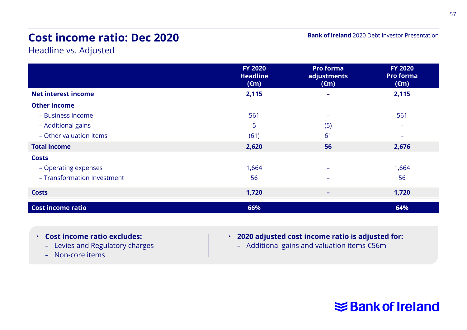# **Cost income ratio: Dec 2020**

**Bank of Ireland** 2020 Debt Investor Presentation

Headline vs. Adjusted

|                             | <b>FY 2020</b><br><b>Headline</b><br>$(\epsilon m)$ | <b>Pro forma</b><br>adjustments<br>$(\epsilon m)$ | <b>FY 2020</b><br><b>Pro forma</b><br>$(\epsilon m)$ |
|-----------------------------|-----------------------------------------------------|---------------------------------------------------|------------------------------------------------------|
| <b>Net interest income</b>  | 2,115                                               |                                                   | 2,115                                                |
| <b>Other income</b>         |                                                     |                                                   |                                                      |
| - Business income           | 561                                                 | -                                                 | 561                                                  |
| - Additional gains          | 5                                                   | (5)                                               |                                                      |
| - Other valuation items     | (61)                                                | 61                                                | -                                                    |
| <b>Total Income</b>         | 2,620                                               | 56                                                | 2,676                                                |
| <b>Costs</b>                |                                                     |                                                   |                                                      |
| - Operating expenses        | 1,664                                               |                                                   | 1,664                                                |
| - Transformation Investment | 56                                                  | $\overline{\phantom{0}}$                          | 56                                                   |
| <b>Costs</b>                | 1,720                                               | ۰                                                 | 1,720                                                |
| <b>Cost income ratio</b>    | 66%                                                 |                                                   | 64%                                                  |

- **Cost income ratio excludes:**
	- Levies and Regulatory charges
	- Non-core items
- **2020 adjusted cost income ratio is adjusted for:**
	- Additional gains and valuation items €56m

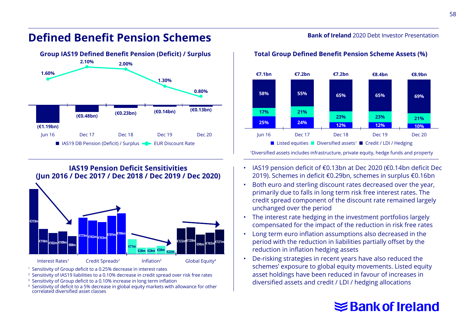#### **Defined Benefit Pension Schemes**





<sup>1</sup> Sensitivity of Group deficit to a 0.25% decrease in interest rates

- <sup>2</sup> Sensitivity of IAS19 liabilities to a 0.10% decrease in credit spread over risk free rates
- <sup>3</sup> Sensitivity of Group deficit to a 0.10% increase in long term inflation
- <sup>4</sup> Sensitivity of deficit to a 5% decrease in global equity markets with allowance for other correlated diversified asset classes

#### **Bank of Ireland** 2020 Debt Investor Presentation



<sup>1</sup>Diversified assets includes infrastructure, private equity, hedge funds and property

- IAS19 pension deficit of €0.13bn at Dec 2020 (€0.14bn deficit Dec 2019). Schemes in deficit €0.29bn, schemes in surplus €0.16bn
- Both euro and sterling discount rates decreased over the year, primarily due to falls in long term risk free interest rates. The credit spread component of the discount rate remained largely unchanged over the period
- The interest rate hedging in the investment portfolios largely compensated for the impact of the reduction in risk free rates
- Long term euro inflation assumptions also decreased in the period with the reduction in liabilities partially offset by the reduction in inflation hedging assets
- De-risking strategies in recent years have also reduced the schemes' exposure to global equity movements. Listed equity asset holdings have been reduced in favour of increases in diversified assets and credit / LDI / hedging allocations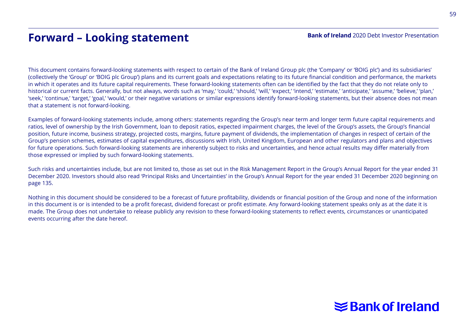# **Forward – Looking statement**

This document contains forward-looking statements with respect to certain of the Bank of Ireland Group plc (the 'Company' or 'BOIG plc') and its subsidiaries' (collectively the 'Group' or 'BOIG plc Group') plans and its current goals and expectations relating to its future financial condition and performance, the markets in which it operates and its future capital requirements. These forward-looking statements often can be identified by the fact that they do not relate only to historical or current facts. Generally, but not always, words such as 'may,' 'could,' 'should,' 'will,' 'expect,' 'intend,' 'estimate,' anticipate,' 'assume,' 'believe,' 'plan,' 'seek,' 'continue,' 'target,' 'goal,' 'would,' or their negative variations or similar expressions identify forward-looking statements, but their absence does not mean that a statement is not forward-looking.

Examples of forward-looking statements include, among others: statements regarding the Group's near term and longer term future capital requirements and ratios, level of ownership by the Irish Government, loan to deposit ratios, expected impairment charges, the level of the Group's assets, the Group's financial position, future income, business strategy, projected costs, margins, future payment of dividends, the implementation of changes in respect of certain of the Group's pension schemes, estimates of capital expenditures, discussions with Irish, United Kingdom, European and other regulators and plans and objectives for future operations. Such forward-looking statements are inherently subject to risks and uncertainties, and hence actual results may differ materially from those expressed or implied by such forward-looking statements.

Such risks and uncertainties include, but are not limited to, those as set out in the Risk Management Report in the Group's Annual Report for the year ended 31 December 2020. Investors should also read 'Principal Risks and Uncertainties' in the Group's Annual Report for the year ended 31 December 2020 beginning on page 135.

Nothing in this document should be considered to be a forecast of future profitability, dividends or financial position of the Group and none of the information in this document is or is intended to be a profit forecast, dividend forecast or profit estimate. Any forward-looking statement speaks only as at the date it is made. The Group does not undertake to release publicly any revision to these forward-looking statements to reflect events, circumstances or unanticipated events occurring after the date hereof.